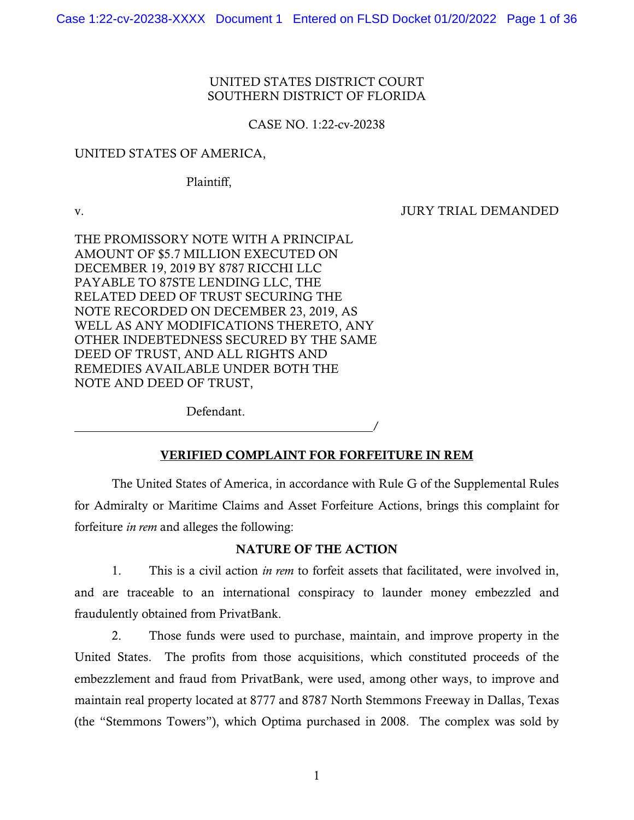### UNITED STATES DISTRICT COURT SOUTHERN DISTRICT OF FLORIDA

### CASE NO. 1:22-cv-20238

### UNITED STATES OF AMERICA,

Plaintiff,

 $\overline{a}$ 

v. JURY TRIAL DEMANDED

 DECEMBER 19, 2019 BY 8787 RICCHI LLC THE PROMISSORY NOTE WITH A PRINCIPAL AMOUNT OF \$5.7 MILLION EXECUTED ON PAYABLE TO 87STE LENDING LLC, THE RELATED DEED OF TRUST SECURING THE NOTE RECORDED ON DECEMBER 23, 2019, AS WELL AS ANY MODIFICATIONS THERETO, ANY OTHER INDEBTEDNESS SECURED BY THE SAME DEED OF TRUST, AND ALL RIGHTS AND REMEDIES AVAILABLE UNDER BOTH THE NOTE AND DEED OF TRUST,

Defendant.

### VERIFIED COMPLAINT FOR FORFEITURE IN REM

/

The United States of America, in accordance with Rule G of the Supplemental Rules for Admiralty or Maritime Claims and Asset Forfeiture Actions, brings this complaint for forfeiture *in rem* and alleges the following:

### NATURE OF THE ACTION

 1. This is a civil action *in rem* to forfeit assets that facilitated, were involved in, and are traceable to an international conspiracy to launder money embezzled and fraudulently obtained from PrivatBank.

 (the "Stemmons Towers"), which Optima purchased in 2008. The complex was sold by 2. Those funds were used to purchase, maintain, and improve property in the United States. The profits from those acquisitions, which constituted proceeds of the embezzlement and fraud from PrivatBank, were used, among other ways, to improve and maintain real property located at 8777 and 8787 North Stemmons Freeway in Dallas, Texas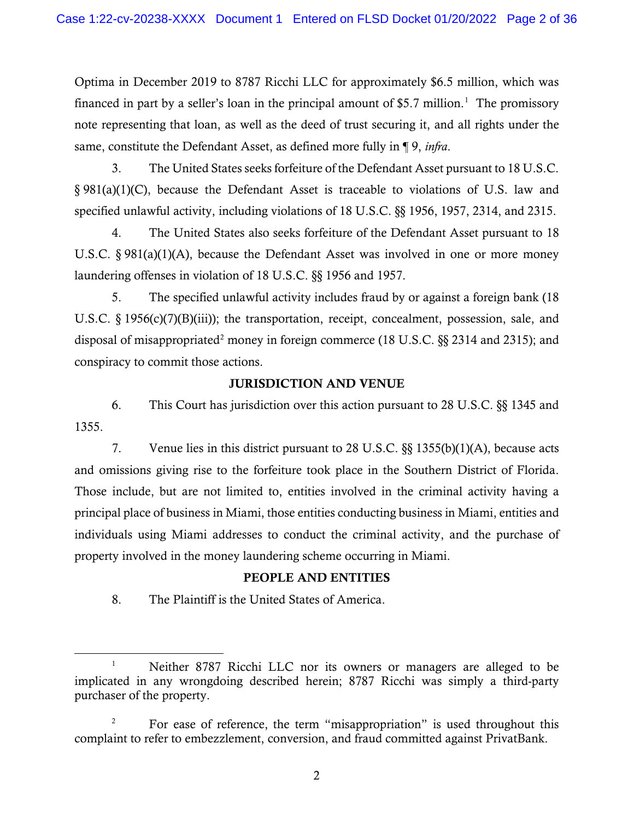financed in part by a seller's loan in the principal amount of \$5.7 million.<sup>1</sup> The promissory Optima in December 2019 to 8787 Ricchi LLC for approximately \$6.5 million, which was note representing that loan, as well as the deed of trust securing it, and all rights under the same, constitute the Defendant Asset, as defined more fully in ¶ 9, *infra*.

3. The United States seeks forfeiture of the Defendant Asset pursuant to 18 U.S.C. § 981(a)(1)(C), because the Defendant Asset is traceable to violations of U.S. law and specified unlawful activity, including violations of 18 U.S.C. §§ 1956, 1957, 2314, and 2315.

 U.S.C. § 981(a)(1)(A), because the Defendant Asset was involved in one or more money laundering offenses in violation of 18 U.S.C. §§ 1956 and 1957. 4. The United States also seeks forfeiture of the Defendant Asset pursuant to 18

disposal of misappropriated<sup>[2](#page-1-1)</sup> money in foreign commerce (18 U.S.C.  $\S$ § 2314 and 2315); and 5. The specified unlawful activity includes fraud by or against a foreign bank (18 U.S.C. § 1956(c)(7)(B)(iii)); the transportation, receipt, concealment, possession, sale, and conspiracy to commit those actions.

## JURISDICTION AND VENUE

6. This Court has jurisdiction over this action pursuant to 28 U.S.C. §§ 1345 and 1355.

and omissions giving rise to the forfeiture took place in the Southern District of Florida. principal place of business in Miami, those entities conducting business in Miami, entities and 7. Venue lies in this district pursuant to 28 U.S.C. §§ 1355(b)(1)(A), because acts Those include, but are not limited to, entities involved in the criminal activity having a individuals using Miami addresses to conduct the criminal activity, and the purchase of property involved in the money laundering scheme occurring in Miami.

## PEOPLE AND ENTITIES

8. The Plaintiff is the United States of America.

<span id="page-1-0"></span> $\mathbf{1}$ 1 Neither 8787 Ricchi LLC nor its owners or managers are alleged to be implicated in any wrongdoing described herein; 8787 Ricchi was simply a third-party purchaser of the property.

<span id="page-1-1"></span><sup>2</sup> For ease of reference, the term "misappropriation" is used throughout this complaint to refer to embezzlement, conversion, and fraud committed against PrivatBank.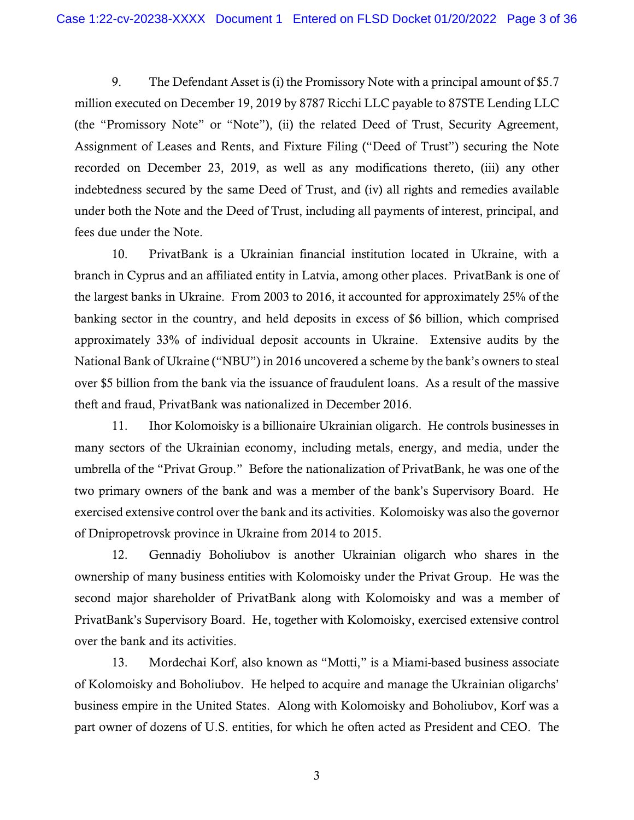(the "Promissory Note" or "Note"), (ii) the related Deed of Trust, Security Agreement, 9. The Defendant Asset is (i) the Promissory Note with a principal amount of \$5.7 million executed on December 19, 2019 by 8787 Ricchi LLC payable to 87STE Lending LLC Assignment of Leases and Rents, and Fixture Filing ("Deed of Trust") securing the Note recorded on December 23, 2019, as well as any modifications thereto, (iii) any other indebtedness secured by the same Deed of Trust, and (iv) all rights and remedies available under both the Note and the Deed of Trust, including all payments of interest, principal, and fees due under the Note.

 branch in Cyprus and an affiliated entity in Latvia, among other places. PrivatBank is one of the largest banks in Ukraine. From 2003 to 2016, it accounted for approximately 25% of the approximately 33% of individual deposit accounts in Ukraine. Extensive audits by the National Bank of Ukraine ("NBU") in 2016 uncovered a scheme by the bank's owners to steal over \$5 billion from the bank via the issuance of fraudulent loans. As a result of the massive theft and fraud, PrivatBank was nationalized in December 2016. 10. PrivatBank is a Ukrainian financial institution located in Ukraine, with a banking sector in the country, and held deposits in excess of \$6 billion, which comprised

 11. Ihor Kolomoisky is a billionaire Ukrainian oligarch. He controls businesses in umbrella of the "Privat Group." Before the nationalization of PrivatBank, he was one of the exercised extensive control over the bank and its activities. Kolomoisky was also the governor of Dnipropetrovsk province in Ukraine from 2014 to 2015. many sectors of the Ukrainian economy, including metals, energy, and media, under the two primary owners of the bank and was a member of the bank's Supervisory Board. He

 12. Gennadiy Boholiubov is another Ukrainian oligarch who shares in the ownership of many business entities with Kolomoisky under the Privat Group. He was the second major shareholder of PrivatBank along with Kolomoisky and was a member of PrivatBank's Supervisory Board. He, together with Kolomoisky, exercised extensive control over the bank and its activities.

 of Kolomoisky and Boholiubov. He helped to acquire and manage the Ukrainian oligarchs' business empire in the United States. Along with Kolomoisky and Boholiubov, Korf was a part owner of dozens of U.S. entities, for which he often acted as President and CEO. The 13. Mordechai Korf, also known as "Motti," is a Miami-based business associate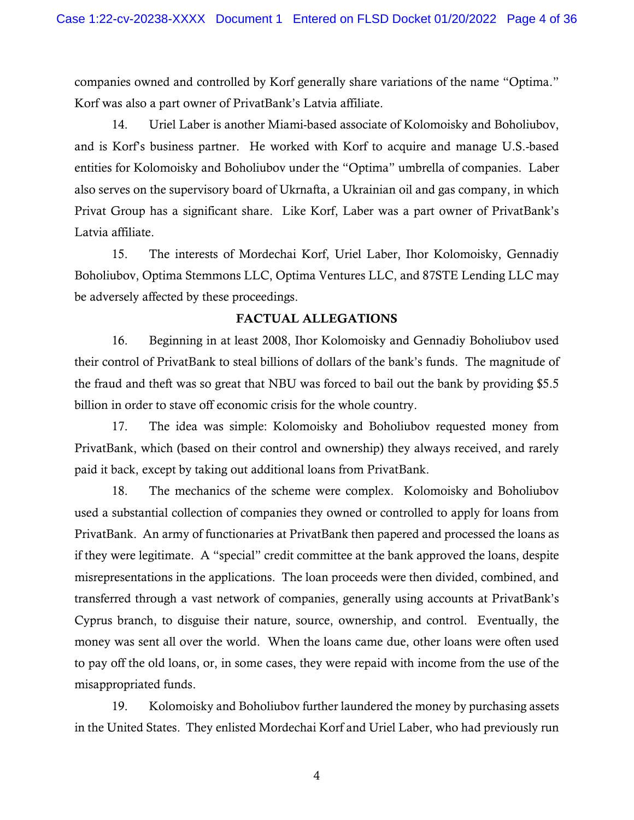companies owned and controlled by Korf generally share variations of the name "Optima." Korf was also a part owner of PrivatBank's Latvia affiliate.

 14. Uriel Laber is another Miami-based associate of Kolomoisky and Boholiubov, and is Korf's business partner. He worked with Korf to acquire and manage U.S.-based also serves on the supervisory board of Ukrnafta, a Ukrainian oil and gas company, in which Latvia affiliate. entities for Kolomoisky and Boholiubov under the "Optima" umbrella of companies. Laber Privat Group has a significant share. Like Korf, Laber was a part owner of PrivatBank's

 Boholiubov, Optima Stemmons LLC, Optima Ventures LLC, and 87STE Lending LLC may be adversely affected by these proceedings. 15. The interests of Mordechai Korf, Uriel Laber, Ihor Kolomoisky, Gennadiy

### FACTUAL ALLEGATIONS

 their control of PrivatBank to steal billions of dollars of the bank's funds. The magnitude of 16. Beginning in at least 2008, Ihor Kolomoisky and Gennadiy Boholiubov used the fraud and theft was so great that NBU was forced to bail out the bank by providing \$5.5 billion in order to stave off economic crisis for the whole country.

17. The idea was simple: Kolomoisky and Boholiubov requested money from PrivatBank, which (based on their control and ownership) they always received, and rarely paid it back, except by taking out additional loans from PrivatBank.

 used a substantial collection of companies they owned or controlled to apply for loans from if they were legitimate. A "special" credit committee at the bank approved the loans, despite money was sent all over the world. When the loans came due, other loans were often used to pay off the old loans, or, in some cases, they were repaid with income from the use of the 18. The mechanics of the scheme were complex. Kolomoisky and Boholiubov PrivatBank. An army of functionaries at PrivatBank then papered and processed the loans as misrepresentations in the applications. The loan proceeds were then divided, combined, and transferred through a vast network of companies, generally using accounts at PrivatBank's Cyprus branch, to disguise their nature, source, ownership, and control. Eventually, the misappropriated funds.

 19. Kolomoisky and Boholiubov further laundered the money by purchasing assets in the United States. They enlisted Mordechai Korf and Uriel Laber, who had previously run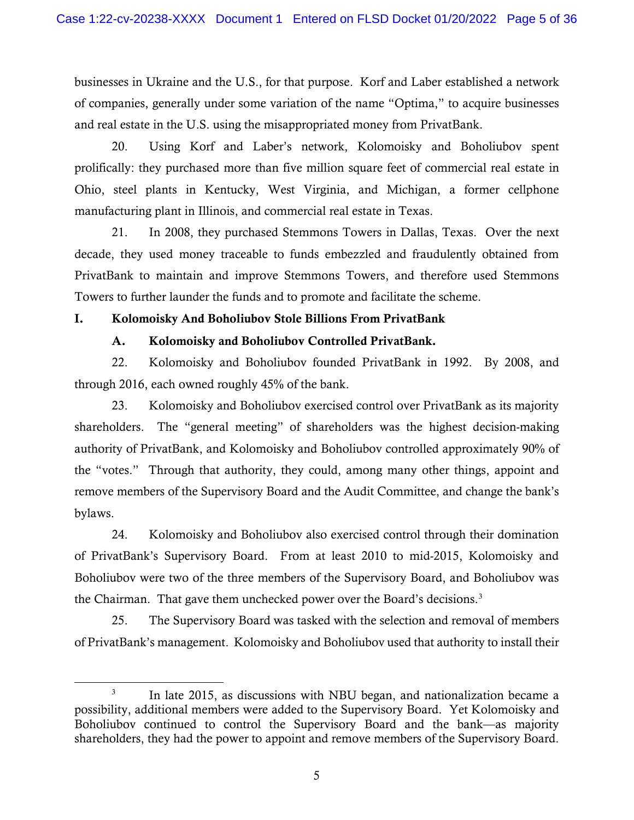businesses in Ukraine and the U.S., for that purpose. Korf and Laber established a network of companies, generally under some variation of the name "Optima," to acquire businesses and real estate in the U.S. using the misappropriated money from PrivatBank.

 prolifically: they purchased more than five million square feet of commercial real estate in Ohio, steel plants in Kentucky, West Virginia, and Michigan, a former cellphone 20. Using Korf and Laber's network, Kolomoisky and Boholiubov spent manufacturing plant in Illinois, and commercial real estate in Texas.

 21. In 2008, they purchased Stemmons Towers in Dallas, Texas. Over the next decade, they used money traceable to funds embezzled and fraudulently obtained from PrivatBank to maintain and improve Stemmons Towers, and therefore used Stemmons Towers to further launder the funds and to promote and facilitate the scheme.

## I. Kolomoisky And Boholiubov Stole Billions From PrivatBank

## A. Kolomoisky and Boholiubov Controlled PrivatBank.

 22. Kolomoisky and Boholiubov founded PrivatBank in 1992. By 2008, and through 2016, each owned roughly 45% of the bank.

 23. Kolomoisky and Boholiubov exercised control over PrivatBank as its majority the "votes." Through that authority, they could, among many other things, appoint and shareholders. The "general meeting" of shareholders was the highest decision-making authority of PrivatBank, and Kolomoisky and Boholiubov controlled approximately 90% of remove members of the Supervisory Board and the Audit Committee, and change the bank's bylaws.

24. Kolomoisky and Boholiubov also exercised control through their domination of PrivatBank's Supervisory Board. From at least 2010 to mid-2015, Kolomoisky and Boholiubov were two of the three members of the Supervisory Board, and Boholiubov was the Chairman. That gave them unchecked power over the Board's decisions. [3](#page-4-0)

25. The Supervisory Board was tasked with the selection and removal of members of PrivatBank's management. Kolomoisky and Boholiubov used that authority to install their

<span id="page-4-0"></span><sup>&</sup>lt;sup>3</sup> In late 2015, as discussions with NBU began, and nationalization became a possibility, additional members were added to the Supervisory Board. Yet Kolomoisky and Boholiubov continued to control the Supervisory Board and the bank—as majority shareholders, they had the power to appoint and remove members of the Supervisory Board.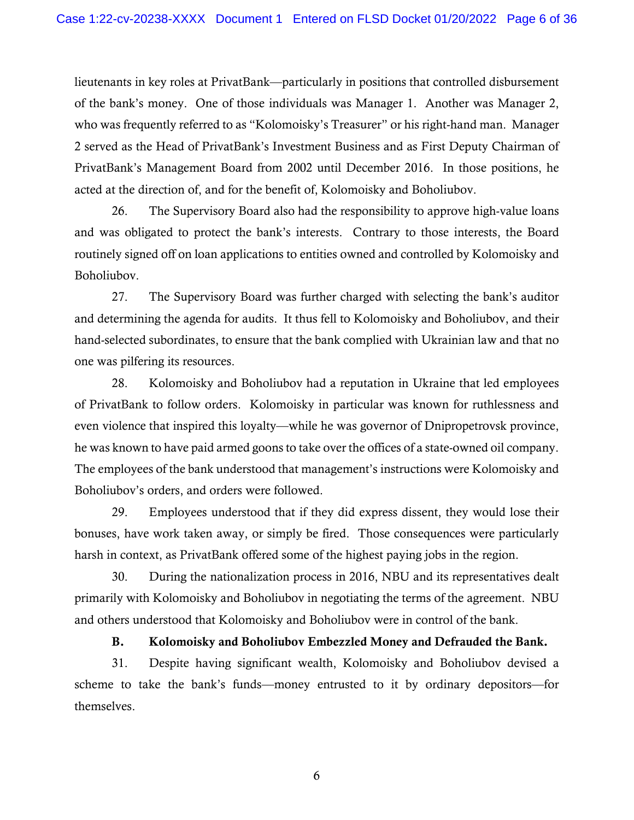of the bank's money. One of those individuals was Manager 1. Another was Manager 2, PrivatBank's Management Board from 2002 until December 2016. In those positions, he lieutenants in key roles at PrivatBank—particularly in positions that controlled disbursement who was frequently referred to as "Kolomoisky's Treasurer" or his right-hand man. Manager 2 served as the Head of PrivatBank's Investment Business and as First Deputy Chairman of acted at the direction of, and for the benefit of, Kolomoisky and Boholiubov.

 and was obligated to protect the bank's interests. Contrary to those interests, the Board 26. The Supervisory Board also had the responsibility to approve high-value loans routinely signed off on loan applications to entities owned and controlled by Kolomoisky and Boholiubov.

 and determining the agenda for audits. It thus fell to Kolomoisky and Boholiubov, and their hand-selected subordinates, to ensure that the bank complied with Ukrainian law and that no 27. The Supervisory Board was further charged with selecting the bank's auditor one was pilfering its resources.

 of PrivatBank to follow orders. Kolomoisky in particular was known for ruthlessness and even violence that inspired this loyalty—while he was governor of Dnipropetrovsk province, he was known to have paid armed goons to take over the offices of a state-owned oil company. 28. Kolomoisky and Boholiubov had a reputation in Ukraine that led employees The employees of the bank understood that management's instructions were Kolomoisky and Boholiubov's orders, and orders were followed.

29. Employees understood that if they did express dissent, they would lose their bonuses, have work taken away, or simply be fired. Those consequences were particularly harsh in context, as PrivatBank offered some of the highest paying jobs in the region.

 primarily with Kolomoisky and Boholiubov in negotiating the terms of the agreement. NBU 30. During the nationalization process in 2016, NBU and its representatives dealt and others understood that Kolomoisky and Boholiubov were in control of the bank.

### B. Kolomoisky and Boholiubov Embezzled Money and Defrauded the Bank.

themselves. 31. Despite having significant wealth, Kolomoisky and Boholiubov devised a scheme to take the bank's funds—money entrusted to it by ordinary depositors—for themselves.<br>
6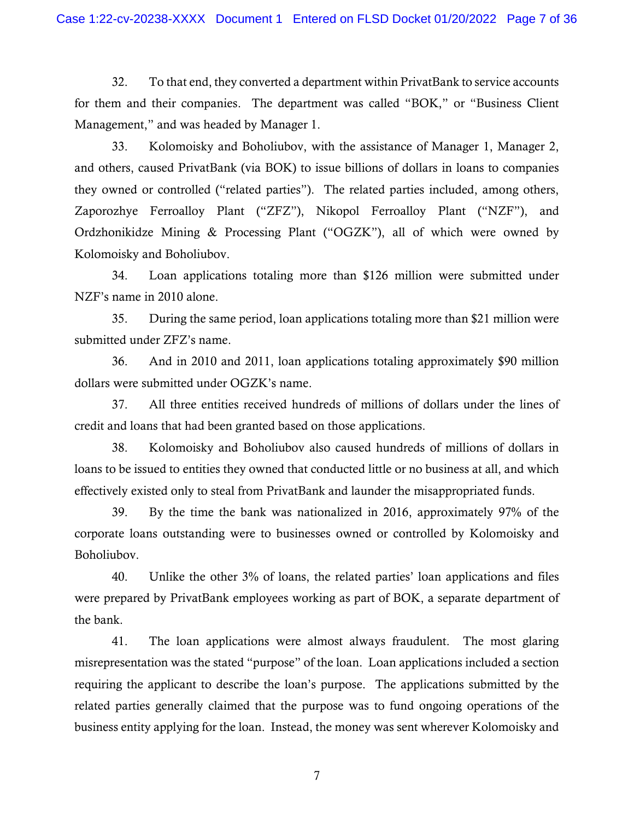32. To that end, they converted a department within PrivatBank to service accounts for them and their companies. The department was called "BOK," or "Business Client Management," and was headed by Manager 1.

 and others, caused PrivatBank (via BOK) to issue billions of dollars in loans to companies they owned or controlled ("related parties"). The related parties included, among others, 33. Kolomoisky and Boholiubov, with the assistance of Manager 1, Manager 2, Zaporozhye Ferroalloy Plant ("ZFZ"), Nikopol Ferroalloy Plant ("NZF"), and Ordzhonikidze Mining & Processing Plant ("OGZK"), all of which were owned by Kolomoisky and Boholiubov.

NZF's name in 2010 alone. 34. Loan applications totaling more than \$126 million were submitted under

 submitted under ZFZ's name. 35. During the same period, loan applications totaling more than \$21 million were

dollars were submitted under OGZK's name. dollars were submitted under OGZK's name.<br>37. All three entities received hundreds of millions of dollars under the lines of 36. And in 2010 and 2011, loan applications totaling approximately \$90 million

credit and loans that had been granted based on those applications.

 38. Kolomoisky and Boholiubov also caused hundreds of millions of dollars in loans to be issued to entities they owned that conducted little or no business at all, and which effectively existed only to steal from PrivatBank and launder the misappropriated funds.

39. By the time the bank was nationalized in 2016, approximately 97% of the corporate loans outstanding were to businesses owned or controlled by Kolomoisky and Boholiubov.

 40. Unlike the other 3% of loans, the related parties' loan applications and files the bank. were prepared by PrivatBank employees working as part of BOK, a separate department of

 the bank. 41. The loan applications were almost always fraudulent. The most glaring misrepresentation was the stated "purpose" of the loan. Loan applications included a section related parties generally claimed that the purpose was to fund ongoing operations of the business entity applying for the loan. Instead, the money was sent wherever Kolomoisky and requiring the applicant to describe the loan's purpose. The applications submitted by the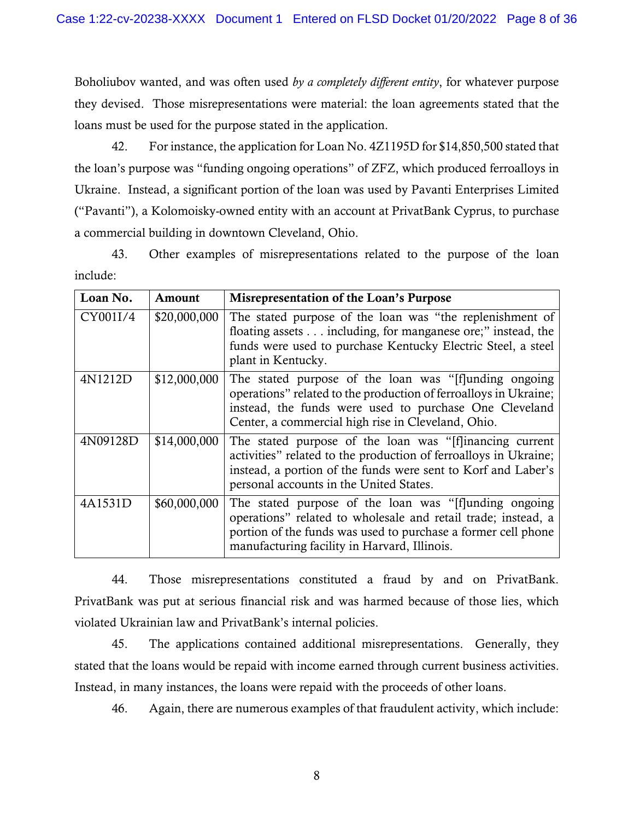they devised. Those misrepresentations were material: the loan agreements stated that the Boholiubov wanted, and was often used *by a completely different entity*, for whatever purpose loans must be used for the purpose stated in the application.

a commercial building in downtown Cleveland, Ohio. 42. For instance, the application for Loan No. 4Z1195D for \$14,850,500 stated that the loan's purpose was "funding ongoing operations" of ZFZ, which produced ferroalloys in Ukraine. Instead, a significant portion of the loan was used by Pavanti Enterprises Limited ("Pavanti"), a Kolomoisky-owned entity with an account at PrivatBank Cyprus, to purchase

43. Other examples of misrepresentations related to the purpose of the loan include:

| Loan No. | Amount       | Misrepresentation of the Loan's Purpose                                                                                                                                                                                                   |
|----------|--------------|-------------------------------------------------------------------------------------------------------------------------------------------------------------------------------------------------------------------------------------------|
| CY001I/4 | \$20,000,000 | The stated purpose of the loan was "the replenishment of<br>floating assets including, for manganese ore;" instead, the<br>funds were used to purchase Kentucky Electric Steel, a steel<br>plant in Kentucky.                             |
| 4N1212D  | \$12,000,000 | The stated purpose of the loan was "[f]unding ongoing<br>operations" related to the production of ferroalloys in Ukraine;<br>instead, the funds were used to purchase One Cleveland<br>Center, a commercial high rise in Cleveland, Ohio. |
| 4N09128D | \$14,000,000 | The stated purpose of the loan was "[f]inancing current<br>activities" related to the production of ferroalloys in Ukraine;<br>instead, a portion of the funds were sent to Korf and Laber's<br>personal accounts in the United States.   |
| 4A1531D  | \$60,000,000 | The stated purpose of the loan was "[f]unding ongoing<br>operations" related to wholesale and retail trade; instead, a<br>portion of the funds was used to purchase a former cell phone<br>manufacturing facility in Harvard, Illinois.   |

44. Those misrepresentations constituted a fraud by and on PrivatBank. PrivatBank was put at serious financial risk and was harmed because of those lies, which violated Ukrainian law and PrivatBank's internal policies.

 45. The applications contained additional misrepresentations. Generally, they stated that the loans would be repaid with income earned through current business activities.<br>Instead, in many instances, the loans were repaid with the proceeds of other loans.<br>46. Again, there are numerous examples of th Instead, in many instances, the loans were repaid with the proceeds of other loans.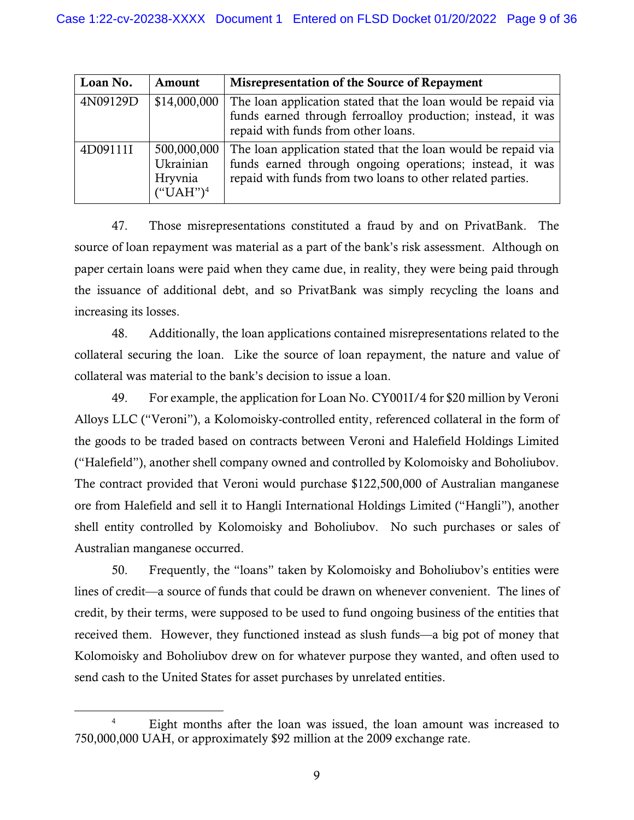| Loan No. | Amount                                             | Misrepresentation of the Source of Repayment                                                                                                                                            |
|----------|----------------------------------------------------|-----------------------------------------------------------------------------------------------------------------------------------------------------------------------------------------|
| 4N09129D | \$14,000,000                                       | The loan application stated that the loan would be repaid via<br>funds earned through ferroalloy production; instead, it was<br>repaid with funds from other loans.                     |
| 4D09111I | 500,000,000<br>Ukrainian<br>Hryvnia<br>$("UAH")^4$ | The loan application stated that the loan would be repaid via<br>funds earned through ongoing operations; instead, it was<br>repaid with funds from two loans to other related parties. |

 47. Those misrepresentations constituted a fraud by and on PrivatBank. The source of loan repayment was material as a part of the bank's risk assessment. Although on paper certain loans were paid when they came due, in reality, they were being paid through the issuance of additional debt, and so PrivatBank was simply recycling the loans and increasing its losses.

 collateral securing the loan. Like the source of loan repayment, the nature and value of collateral was material to the bank's decision to issue a loan. 48. Additionally, the loan applications contained misrepresentations related to the

 Australian manganese occurred. 49. For example, the application for Loan No. CY001I/4 for \$20 million by Veroni Alloys LLC ("Veroni"), a Kolomoisky-controlled entity, referenced collateral in the form of the goods to be traded based on contracts between Veroni and Halefield Holdings Limited ("Halefield"), another shell company owned and controlled by Kolomoisky and Boholiubov. The contract provided that Veroni would purchase \$122,500,000 of Australian manganese ore from Halefield and sell it to Hangli International Holdings Limited ("Hangli"), another shell entity controlled by Kolomoisky and Boholiubov. No such purchases or sales of

 lines of credit—a source of funds that could be drawn on whenever convenient. The lines of credit, by their terms, were supposed to be used to fund ongoing business of the entities that 50. Frequently, the "loans" taken by Kolomoisky and Boholiubov's entities were received them. However, they functioned instead as slush funds—a big pot of money that Kolomoisky and Boholiubov drew on for whatever purpose they wanted, and often used to send cash to the United States for asset purchases by unrelated entities.

<span id="page-8-0"></span><sup>4</sup> Eight months after the loan was issued, the loan amount was increased to 750,000,000 UAH, or approximately \$92 million at the 2009 exchange rate.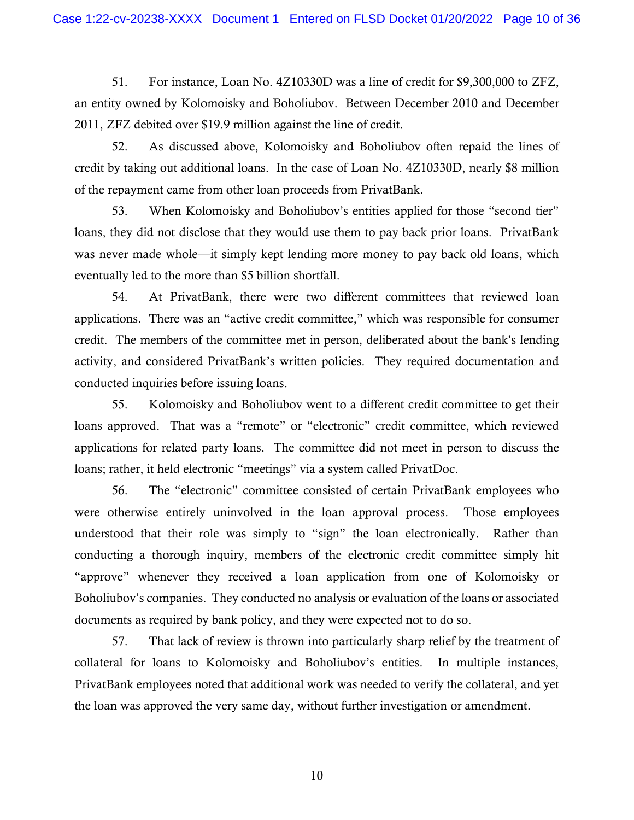an entity owned by Kolomoisky and Boholiubov. Between December 2010 and December 51. For instance, Loan No. 4Z10330D was a line of credit for \$9,300,000 to ZFZ, 2011, ZFZ debited over \$19.9 million against the line of credit.

52. As discussed above, Kolomoisky and Boholiubov often repaid the lines of credit by taking out additional loans. In the case of Loan No. 4Z10330D, nearly \$8 million of the repayment came from other loan proceeds from PrivatBank.

 loans, they did not disclose that they would use them to pay back prior loans. PrivatBank eventually led to the more than \$5 billion shortfall. 53. When Kolomoisky and Boholiubov's entities applied for those "second tier" was never made whole—it simply kept lending more money to pay back old loans, which

 credit. The members of the committee met in person, deliberated about the bank's lending activity, and considered PrivatBank's written policies. They required documentation and 54. At PrivatBank, there were two different committees that reviewed loan applications. There was an "active credit committee," which was responsible for consumer conducted inquiries before issuing loans.

 applications for related party loans. The committee did not meet in person to discuss the loans; rather, it held electronic "meetings" via a system called PrivatDoc. 55. Kolomoisky and Boholiubov went to a different credit committee to get their loans approved. That was a "remote" or "electronic" credit committee, which reviewed

 documents as required by bank policy, and they were expected not to do so. 56. The "electronic" committee consisted of certain PrivatBank employees who were otherwise entirely uninvolved in the loan approval process. Those employees understood that their role was simply to "sign" the loan electronically. Rather than conducting a thorough inquiry, members of the electronic credit committee simply hit "approve" whenever they received a loan application from one of Kolomoisky or Boholiubov's companies. They conducted no analysis or evaluation of the loans or associated

57. That lack of review is thrown into particularly sharp relief by the treatment of collateral for loans to Kolomoisky and Boholiubov's entities. In multiple instances, PrivatBank employees noted that additional work was needed to verify the collateral, and yet the loan was approved the very same day, without further investigation or amendment.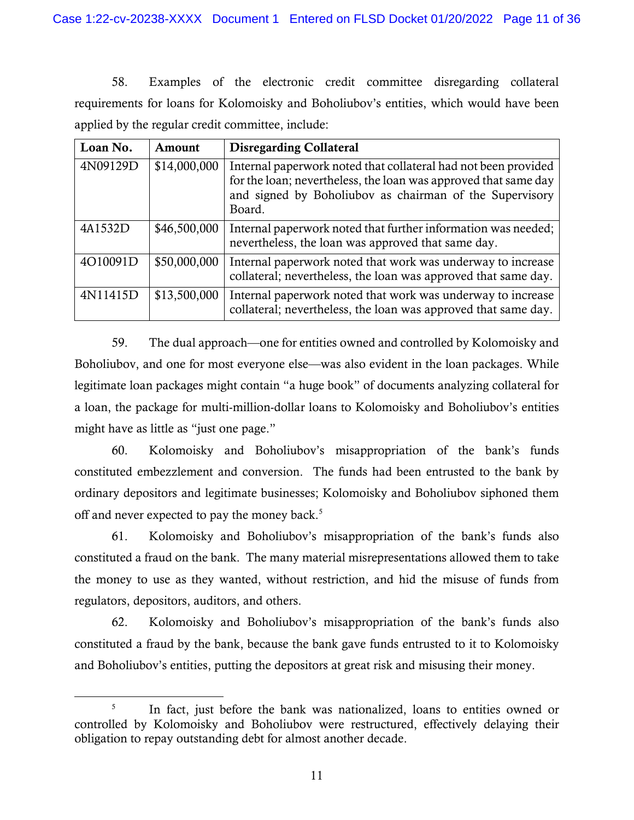58. Examples of the electronic credit committee disregarding collateral requirements for loans for Kolomoisky and Boholiubov's entities, which would have been applied by the regular credit committee, include:

| Loan No. | Amount       | <b>Disregarding Collateral</b>                                                                                                                                                                         |
|----------|--------------|--------------------------------------------------------------------------------------------------------------------------------------------------------------------------------------------------------|
| 4N09129D | \$14,000,000 | Internal paperwork noted that collateral had not been provided<br>for the loan; nevertheless, the loan was approved that same day<br>and signed by Boholiubov as chairman of the Supervisory<br>Board. |
| 4A1532D  | \$46,500,000 | Internal paperwork noted that further information was needed;<br>nevertheless, the loan was approved that same day.                                                                                    |
| 4O10091D | \$50,000,000 | Internal paperwork noted that work was underway to increase<br>collateral; nevertheless, the loan was approved that same day.                                                                          |
| 4N11415D | \$13,500,000 | Internal paperwork noted that work was underway to increase<br>collateral; nevertheless, the loan was approved that same day.                                                                          |

 Boholiubov, and one for most everyone else—was also evident in the loan packages. While 59. The dual approach—one for entities owned and controlled by Kolomoisky and legitimate loan packages might contain "a huge book" of documents analyzing collateral for a loan, the package for multi-million-dollar loans to Kolomoisky and Boholiubov's entities might have as little as "just one page."

 off and never expected to pay the money back. [5](#page-10-0)  60. Kolomoisky and Boholiubov's misappropriation of the bank's funds constituted embezzlement and conversion. The funds had been entrusted to the bank by ordinary depositors and legitimate businesses; Kolomoisky and Boholiubov siphoned them

regulators, depositors, auditors, and others. 61. Kolomoisky and Boholiubov's misappropriation of the bank's funds also constituted a fraud on the bank. The many material misrepresentations allowed them to take the money to use as they wanted, without restriction, and hid the misuse of funds from

62. Kolomoisky and Boholiubov's misappropriation of the bank's funds also constituted a fraud by the bank, because the bank gave funds entrusted to it to Kolomoisky and Boholiubov's entities, putting the depositors at great risk and misusing their money.

<span id="page-10-0"></span> $5<sup>5</sup>$ In fact, just before the bank was nationalized, loans to entities owned or controlled by Kolomoisky and Boholiubov were restructured, effectively delaying their obligation to repay outstanding debt for almost another decade.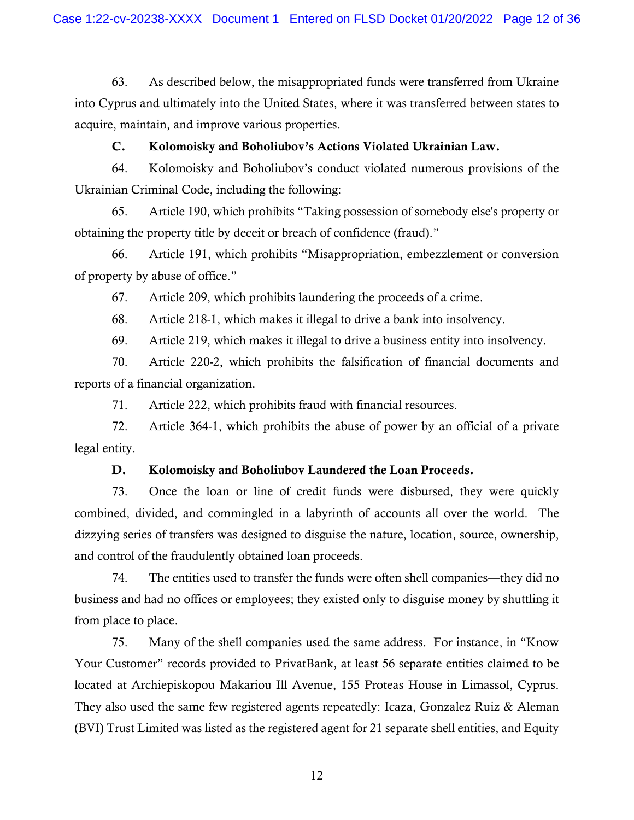63. As described below, the misappropriated funds were transferred from Ukraine into Cyprus and ultimately into the United States, where it was transferred between states to acquire, maintain, and improve various properties.

### C. Kolomoisky and Boholiubov's Actions Violated Ukrainian Law.

64. Kolomoisky and Boholiubov's conduct violated numerous provisions of the Ukrainian Criminal Code, including the following:

65. Article 190, which prohibits "Taking possession of somebody else's property or obtaining the property title by deceit or breach of confidence (fraud)."

of property by abuse of office." 66. Article 191, which prohibits "Misappropriation, embezzlement or conversion

67. Article 209, which prohibits laundering the proceeds of a crime.

Article 218-1, which makes it illegal to drive a bank into insolvency. 68. Article 218-1, which makes it illegal to drive a bank into insolvency. 69. Article 219, which makes it illegal to drive a business entity into insolvency.

reports of a financial organization. 70. Article 220-2, which prohibits the falsification of financial documents and

71. Article 222, which prohibits fraud with financial resources.

72. Article 364-1, which prohibits the abuse of power by an official of a private legal entity.

### D. Kolomoisky and Boholiubov Laundered the Loan Proceeds.

 combined, divided, and commingled in a labyrinth of accounts all over the world. The 73. Once the loan or line of credit funds were disbursed, they were quickly dizzying series of transfers was designed to disguise the nature, location, source, ownership, and control of the fraudulently obtained loan proceeds.

 business and had no offices or employees; they existed only to disguise money by shuttling it 74. The entities used to transfer the funds were often shell companies—they did no from place to place.

 75. Many of the shell companies used the same address. For instance, in "Know Your Customer" records provided to PrivatBank, at least 56 separate entities claimed to be located at Archiepiskopou Makariou Ill Avenue, 155 Proteas House in Limassol, Cyprus. They also used the same few registered agents repeatedly: Icaza, Gonzalez Ruiz & Aleman (BVI) Trust Limited was listed as the registered agent for 21 separate shell entities, and Equity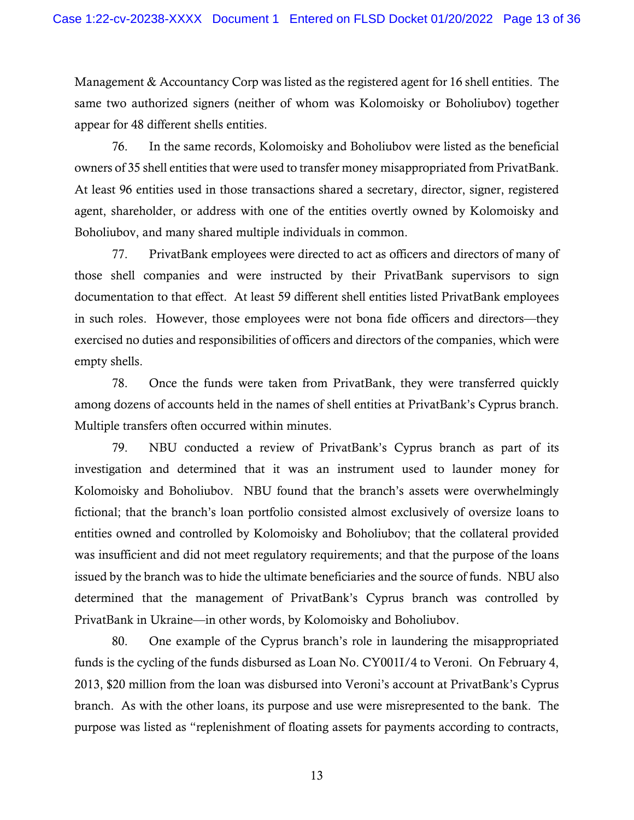Management & Accountancy Corp was listed as the registered agent for 16 shell entities. The appear for 48 different shells entities. same two authorized signers (neither of whom was Kolomoisky or Boholiubov) together

owners of 35 shell entities that were used to transfer money misappropriated from PrivatBank. 76. In the same records, Kolomoisky and Boholiubov were listed as the beneficial At least 96 entities used in those transactions shared a secretary, director, signer, registered agent, shareholder, or address with one of the entities overtly owned by Kolomoisky and Boholiubov, and many shared multiple individuals in common.

 those shell companies and were instructed by their PrivatBank supervisors to sign documentation to that effect. At least 59 different shell entities listed PrivatBank employees empty shells. 77. PrivatBank employees were directed to act as officers and directors of many of in such roles. However, those employees were not bona fide officers and directors—they exercised no duties and responsibilities of officers and directors of the companies, which were

 among dozens of accounts held in the names of shell entities at PrivatBank's Cyprus branch. Multiple transfers often occurred within minutes. 78. Once the funds were taken from PrivatBank, they were transferred quickly

 Kolomoisky and Boholiubov. NBU found that the branch's assets were overwhelmingly 79. NBU conducted a review of PrivatBank's Cyprus branch as part of its investigation and determined that it was an instrument used to launder money for fictional; that the branch's loan portfolio consisted almost exclusively of oversize loans to entities owned and controlled by Kolomoisky and Boholiubov; that the collateral provided was insufficient and did not meet regulatory requirements; and that the purpose of the loans issued by the branch was to hide the ultimate beneficiaries and the source of funds. NBU also determined that the management of PrivatBank's Cyprus branch was controlled by PrivatBank in Ukraine—in other words, by Kolomoisky and Boholiubov.

 funds is the cycling of the funds disbursed as Loan No. CY001I/4 to Veroni. On February 4, 80. One example of the Cyprus branch's role in laundering the misappropriated 2013, \$20 million from the loan was disbursed into Veroni's account at PrivatBank's Cyprus branch. As with the other loans, its purpose and use were misrepresented to the bank. The purpose was listed as "replenishment of floating assets for payments according to contracts,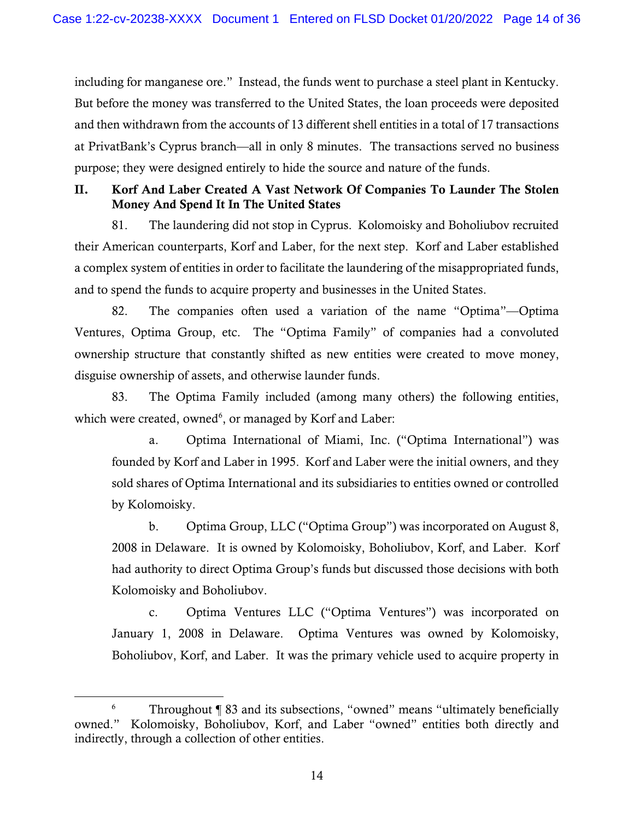including for manganese ore." Instead, the funds went to purchase a steel plant in Kentucky. But before the money was transferred to the United States, the loan proceeds were deposited and then withdrawn from the accounts of 13 different shell entities in a total of 17 transactions at PrivatBank's Cyprus branch—all in only 8 minutes. The transactions served no business purpose; they were designed entirely to hide the source and nature of the funds.

# II. Korf And Laber Created A Vast Network Of Companies To Launder The Stolen Money And Spend It In The United States

 81. The laundering did not stop in Cyprus. Kolomoisky and Boholiubov recruited their American counterparts, Korf and Laber, for the next step. Korf and Laber established a complex system of entities in order to facilitate the laundering of the misappropriated funds, and to spend the funds to acquire property and businesses in the United States.

 82. The companies often used a variation of the name "Optima"—Optima Ventures, Optima Group, etc. The "Optima Family" of companies had a convoluted ownership structure that constantly shifted as new entities were created to move money, disguise ownership of assets, and otherwise launder funds.

83. The Optima Family included (among many others) the following entities, which were created, owned<sup>[6](#page-13-0)</sup>, or managed by Korf and Laber:

 founded by Korf and Laber in 1995. Korf and Laber were the initial owners, and they by Kolomoisky. a. Optima International of Miami, Inc. ("Optima International") was sold shares of Optima International and its subsidiaries to entities owned or controlled

 2008 in Delaware. It is owned by Kolomoisky, Boholiubov, Korf, and Laber. Korf b. Optima Group, LLC ("Optima Group") was incorporated on August 8, had authority to direct Optima Group's funds but discussed those decisions with both Kolomoisky and Boholiubov.

c. Optima Ventures LLC ("Optima Ventures") was incorporated on January 1, 2008 in Delaware. Optima Ventures was owned by Kolomoisky, Boholiubov, Korf, and Laber. It was the primary vehicle used to acquire property in

<span id="page-13-0"></span> $6$  Throughout  $\llbracket$  83 and its subsections, "owned" means "ultimately beneficially owned." Kolomoisky, Boholiubov, Korf, and Laber "owned" entities both directly and indirectly, through a collection of other entities.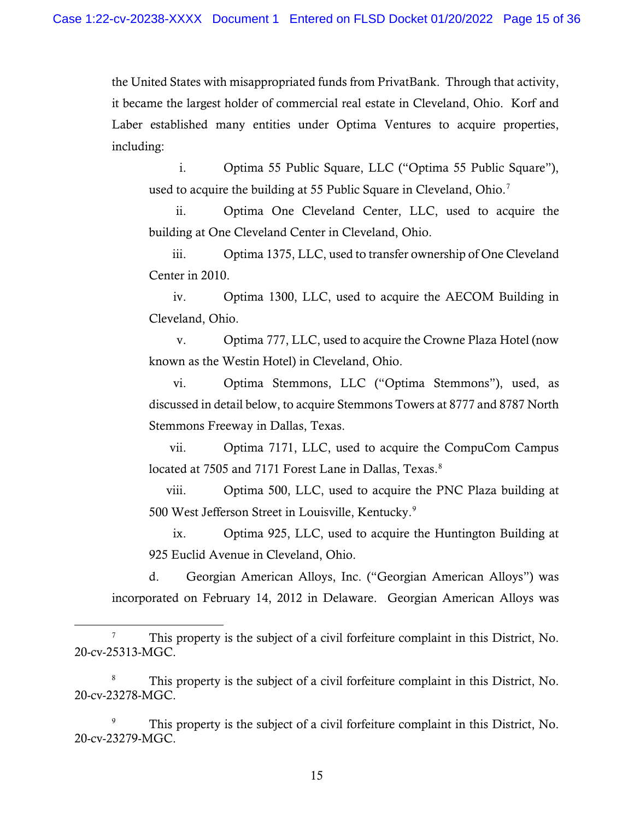the United States with misappropriated funds from PrivatBank. Through that activity, it became the largest holder of commercial real estate in Cleveland, Ohio. Korf and Laber established many entities under Optima Ventures to acquire properties, including:

used to acquire the building at 55 Public Square in Cleveland, Ohio.<sup>7</sup> i. Optima 55 Public Square, LLC ("Optima 55 Public Square"),

ii. Optima One Cleveland Center, LLC, used to acquire the building at One Cleveland Center in Cleveland, Ohio.

iii. Optima 1375, LLC, used to transfer ownership of One Cleveland Center in 2010.

iv. Optima 1300, LLC, used to acquire the AECOM Building in Cleveland, Ohio.

v. Optima 777, LLC, used to acquire the Crowne Plaza Hotel (now known as the Westin Hotel) in Cleveland, Ohio.

 vi. Optima Stemmons, LLC ("Optima Stemmons"), used, as discussed in detail below, to acquire Stemmons Towers at 8777 and 8787 North Stemmons Freeway in Dallas, Texas.

vii. Optima 7171, LLC, used to acquire the CompuCom Campus located at 7505 and 7171 Forest Lane in Dallas, Texas.<sup>8</sup>

viii. Optima 500, LLC, used to acquire the PNC Plaza building at 500 West Jefferson Street in Louisville, Kentucky.<sup>9</sup>

925 Euclid Avenue in Cleveland, Ohio. ix. Optima 925, LLC, used to acquire the Huntington Building at

d. Georgian American Alloys, Inc. ("Georgian American Alloys") was incorporated on February 14, 2012 in Delaware. Georgian American Alloys was

<span id="page-14-2"></span>This property is the subject of a civil forfeiture complaint in this District, No. 20-cv-23279-MGC.

<span id="page-14-0"></span><sup>7</sup> This property is the subject of a civil forfeiture complaint in this District, No. 20-cv-25313-MGC.

<span id="page-14-1"></span><sup>&</sup>lt;sup>8</sup> This property is the subject of a civil forfeiture complaint in this District, No. 20-cv-23278-MGC.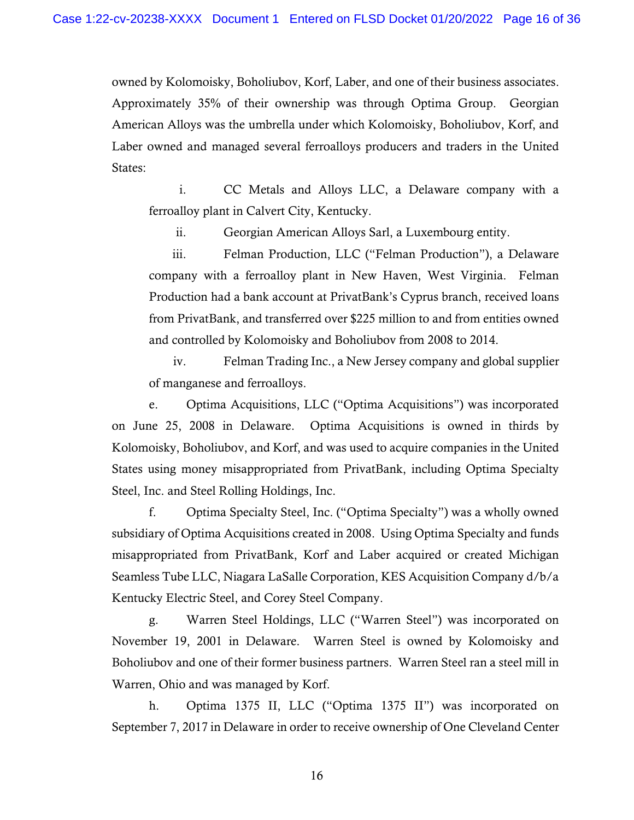owned by Kolomoisky, Boholiubov, Korf, Laber, and one of their business associates. Approximately 35% of their ownership was through Optima Group. Georgian Laber owned and managed several ferroalloys producers and traders in the United American Alloys was the umbrella under which Kolomoisky, Boholiubov, Korf, and States:

i. CC Metals and Alloys LLC, a Delaware company with a ferroalloy plant in Calvert City, Kentucky.

ii. Georgian American Alloys Sarl, a Luxembourg entity.

 and controlled by Kolomoisky and Boholiubov from 2008 to 2014. iii. Felman Production, LLC ("Felman Production"), a Delaware company with a ferroalloy plant in New Haven, West Virginia. Felman Production had a bank account at PrivatBank's Cyprus branch, received loans from PrivatBank, and transferred over \$225 million to and from entities owned

 iv. Felman Trading Inc., a New Jersey company and global supplier of manganese and ferroalloys.

e. Optima Acquisitions, LLC ("Optima Acquisitions") was incorporated on June 25, 2008 in Delaware. Optima Acquisitions is owned in thirds by Kolomoisky, Boholiubov, and Korf, and was used to acquire companies in the United States using money misappropriated from PrivatBank, including Optima Specialty Steel, Inc. and Steel Rolling Holdings, Inc.

f. Optima Specialty Steel, Inc. ("Optima Specialty") was a wholly owned subsidiary of Optima Acquisitions created in 2008. Using Optima Specialty and funds misappropriated from PrivatBank, Korf and Laber acquired or created Michigan Seamless Tube LLC, Niagara LaSalle Corporation, KES Acquisition Company d/b/a Kentucky Electric Steel, and Corey Steel Company.

 Warren, Ohio and was managed by Korf. g. Warren Steel Holdings, LLC ("Warren Steel") was incorporated on November 19, 2001 in Delaware. Warren Steel is owned by Kolomoisky and Boholiubov and one of their former business partners. Warren Steel ran a steel mill in

h. Optima 1375 II, LLC ("Optima 1375 II") was incorporated on September 7, 2017 in Delaware in order to receive ownership of One Cleveland Center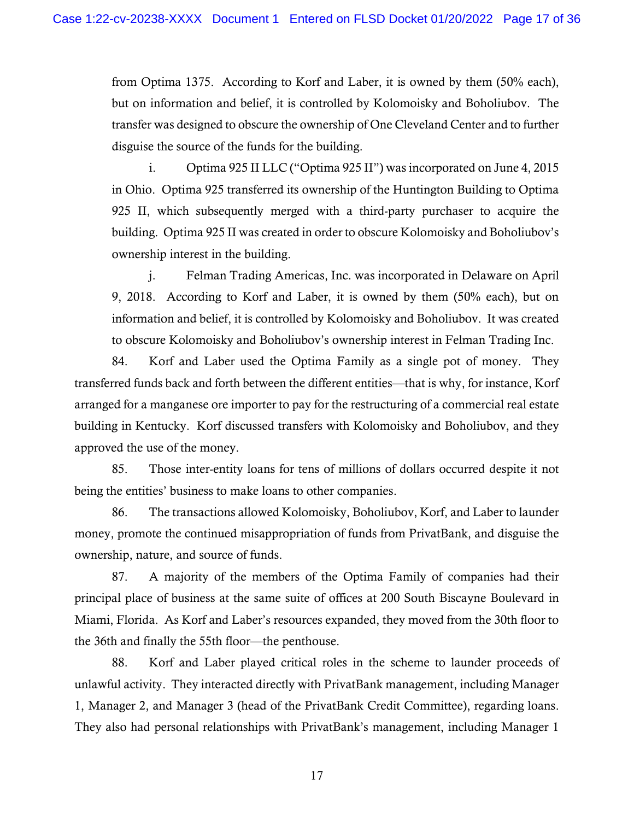from Optima 1375. According to Korf and Laber, it is owned by them (50% each), but on information and belief, it is controlled by Kolomoisky and Boholiubov. The transfer was designed to obscure the ownership of One Cleveland Center and to further disguise the source of the funds for the building.

 building. Optima 925 II was created in order to obscure Kolomoisky and Boholiubov's i. Optima 925 II LLC ("Optima 925 II") was incorporated on June 4, 2015 in Ohio. Optima 925 transferred its ownership of the Huntington Building to Optima 925 II, which subsequently merged with a third-party purchaser to acquire the ownership interest in the building.

 9, 2018. According to Korf and Laber, it is owned by them (50% each), but on information and belief, it is controlled by Kolomoisky and Boholiubov. It was created to obscure Kolomoisky and Boholiubov's ownership interest in Felman Trading Inc. j. Felman Trading Americas, Inc. was incorporated in Delaware on April

 84. Korf and Laber used the Optima Family as a single pot of money. They arranged for a manganese ore importer to pay for the restructuring of a commercial real estate building in Kentucky. Korf discussed transfers with Kolomoisky and Boholiubov, and they approved the use of the money. transferred funds back and forth between the different entities—that is why, for instance, Korf

85. Those inter-entity loans for tens of millions of dollars occurred despite it not being the entities' business to make loans to other companies.

 ownership, nature, and source of funds. 86. The transactions allowed Kolomoisky, Boholiubov, Korf, and Laber to launder money, promote the continued misappropriation of funds from PrivatBank, and disguise the

87. A majority of the members of the Optima Family of companies had their principal place of business at the same suite of offices at 200 South Biscayne Boulevard in Miami, Florida. As Korf and Laber's resources expanded, they moved from the 30th floor to the 36th and finally the 55th floor—the penthouse.

 unlawful activity. They interacted directly with PrivatBank management, including Manager 1, Manager 2, and Manager 3 (head of the PrivatBank Credit Committee), regarding loans. 88. Korf and Laber played critical roles in the scheme to launder proceeds of They also had personal relationships with PrivatBank's management, including Manager 1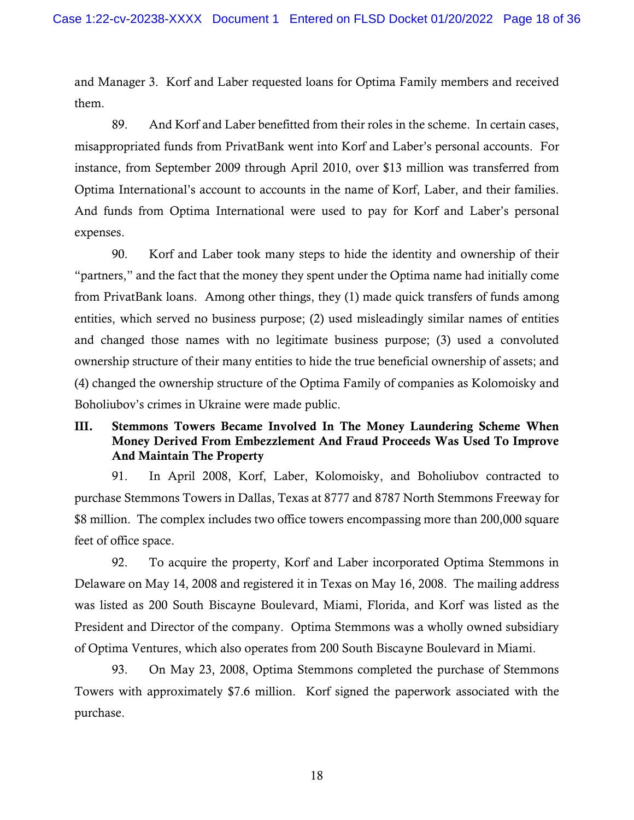them. and Manager 3. Korf and Laber requested loans for Optima Family members and received

 them. 89. And Korf and Laber benefitted from their roles in the scheme. In certain cases, Optima International's account to accounts in the name of Korf, Laber, and their families. expenses. misappropriated funds from PrivatBank went into Korf and Laber's personal accounts. For instance, from September 2009 through April 2010, over \$13 million was transferred from And funds from Optima International were used to pay for Korf and Laber's personal

expenses.<br>90. Korf and Laber took many steps to hide the identity and ownership of their "partners," and the fact that the money they spent under the Optima name had initially come from PrivatBank loans. Among other things, they (1) made quick transfers of funds among entities, which served no business purpose; (2) used misleadingly similar names of entities and changed those names with no legitimate business purpose; (3) used a convoluted ownership structure of their many entities to hide the true beneficial ownership of assets; and (4) changed the ownership structure of the Optima Family of companies as Kolomoisky and Boholiubov's crimes in Ukraine were made public.

## III. Stemmons Towers Became Involved In The Money Laundering Scheme When Money Derived From Embezzlement And Fraud Proceeds Was Used To Improve And Maintain The Property

91. In April 2008, Korf, Laber, Kolomoisky, and Boholiubov contracted to purchase Stemmons Towers in Dallas, Texas at 8777 and 8787 North Stemmons Freeway for \$8 million. The complex includes two office towers encompassing more than 200,000 square feet of office space.

 92. To acquire the property, Korf and Laber incorporated Optima Stemmons in President and Director of the company. Optima Stemmons was a wholly owned subsidiary of Optima Ventures, which also operates from 200 South Biscayne Boulevard in Miami. Delaware on May 14, 2008 and registered it in Texas on May 16, 2008. The mailing address was listed as 200 South Biscayne Boulevard, Miami, Florida, and Korf was listed as the

93. On May 23, 2008, Optima Stemmons completed the purchase of Stemmons Towers with approximately \$7.6 million. Korf signed the paperwork associated with the purchase.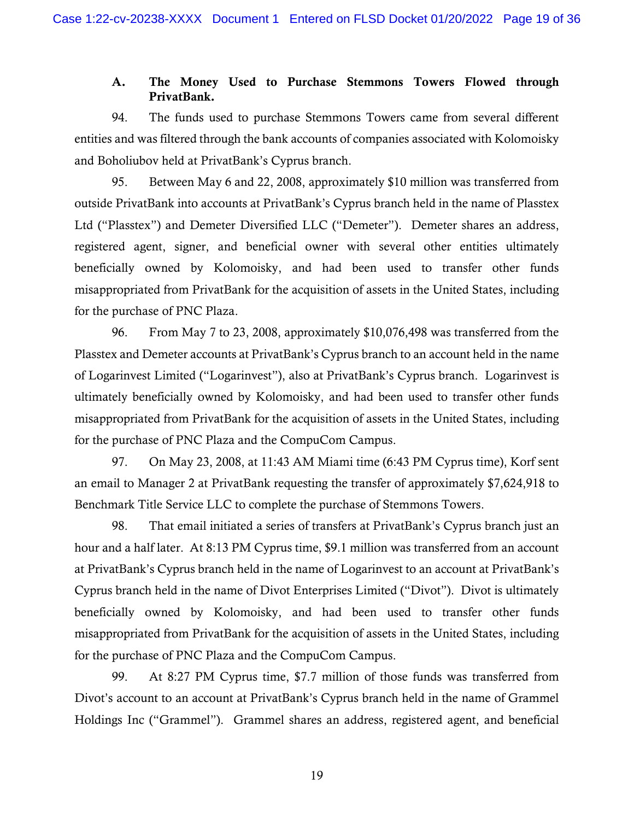## A. The Money Used to Purchase Stemmons Towers Flowed through PrivatBank.

94. The funds used to purchase Stemmons Towers came from several different entities and was filtered through the bank accounts of companies associated with Kolomoisky and Boholiubov held at PrivatBank's Cyprus branch.

 95. Between May 6 and 22, 2008, approximately \$10 million was transferred from outside PrivatBank into accounts at PrivatBank's Cyprus branch held in the name of Plasstex beneficially owned by Kolomoisky, and had been used to transfer other funds Ltd ("Plasstex") and Demeter Diversified LLC ("Demeter"). Demeter shares an address, registered agent, signer, and beneficial owner with several other entities ultimately misappropriated from PrivatBank for the acquisition of assets in the United States, including for the purchase of PNC Plaza.

 ultimately beneficially owned by Kolomoisky, and had been used to transfer other funds 96. From May 7 to 23, 2008, approximately \$10,076,498 was transferred from the Plasstex and Demeter accounts at PrivatBank's Cyprus branch to an account held in the name of Logarinvest Limited ("Logarinvest"), also at PrivatBank's Cyprus branch. Logarinvest is misappropriated from PrivatBank for the acquisition of assets in the United States, including for the purchase of PNC Plaza and the CompuCom Campus.

 97. On May 23, 2008, at 11:43 AM Miami time (6:43 PM Cyprus time), Korf sent an email to Manager 2 at PrivatBank requesting the transfer of approximately \$7,624,918 to Benchmark Title Service LLC to complete the purchase of Stemmons Towers.

 Cyprus branch held in the name of Divot Enterprises Limited ("Divot"). Divot is ultimately beneficially owned by Kolomoisky, and had been used to transfer other funds 98. That email initiated a series of transfers at PrivatBank's Cyprus branch just an hour and a half later. At 8:13 PM Cyprus time, \$9.1 million was transferred from an account at PrivatBank's Cyprus branch held in the name of Logarinvest to an account at PrivatBank's misappropriated from PrivatBank for the acquisition of assets in the United States, including for the purchase of PNC Plaza and the CompuCom Campus.

 Divot's account to an account at PrivatBank's Cyprus branch held in the name of Grammel Holdings Inc ("Grammel"). Grammel shares an address, registered agent, and beneficial 99. At 8:27 PM Cyprus time, \$7.7 million of those funds was transferred from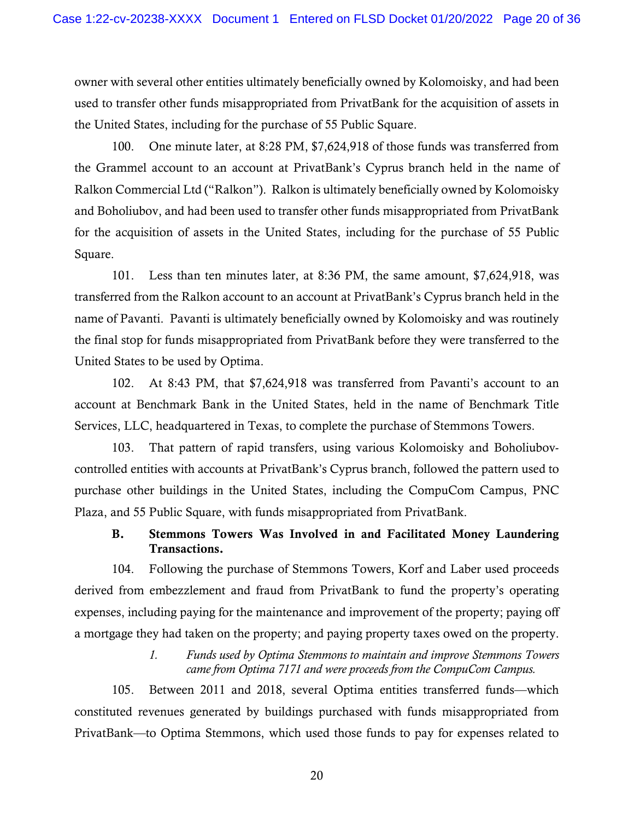used to transfer other funds misappropriated from PrivatBank for the acquisition of assets in owner with several other entities ultimately beneficially owned by Kolomoisky, and had been the United States, including for the purchase of 55 Public Square.

 Ralkon Commercial Ltd ("Ralkon"). Ralkon is ultimately beneficially owned by Kolomoisky 100. One minute later, at 8:28 PM, \$7,624,918 of those funds was transferred from the Grammel account to an account at PrivatBank's Cyprus branch held in the name of and Boholiubov, and had been used to transfer other funds misappropriated from PrivatBank for the acquisition of assets in the United States, including for the purchase of 55 Public Square.

 101. Less than ten minutes later, at 8:36 PM, the same amount, \$7,624,918, was transferred from the Ralkon account to an account at PrivatBank's Cyprus branch held in the name of Pavanti. Pavanti is ultimately beneficially owned by Kolomoisky and was routinely the final stop for funds misappropriated from PrivatBank before they were transferred to the United States to be used by Optima.

102. At 8:43 PM, that \$7,624,918 was transferred from Pavanti's account to an account at Benchmark Bank in the United States, held in the name of Benchmark Title Services, LLC, headquartered in Texas, to complete the purchase of Stemmons Towers.

103. That pattern of rapid transfers, using various Kolomoisky and Boholiubovcontrolled entities with accounts at PrivatBank's Cyprus branch, followed the pattern used to purchase other buildings in the United States, including the CompuCom Campus, PNC Plaza, and 55 Public Square, with funds misappropriated from PrivatBank.

## B. Stemmons Towers Was Involved in and Facilitated Money Laundering Transactions.

 a mortgage they had taken on the property; and paying property taxes owed on the property. 104. Following the purchase of Stemmons Towers, Korf and Laber used proceeds derived from embezzlement and fraud from PrivatBank to fund the property's operating expenses, including paying for the maintenance and improvement of the property; paying off

## *1. Funds used by Optima Stemmons to maintain and improve Stemmons Towers came from Optima 7171 and were proceeds from the CompuCom Campus.*

 constituted revenues generated by buildings purchased with funds misappropriated from 105. Between 2011 and 2018, several Optima entities transferred funds—which PrivatBank—to Optima Stemmons, which used those funds to pay for expenses related to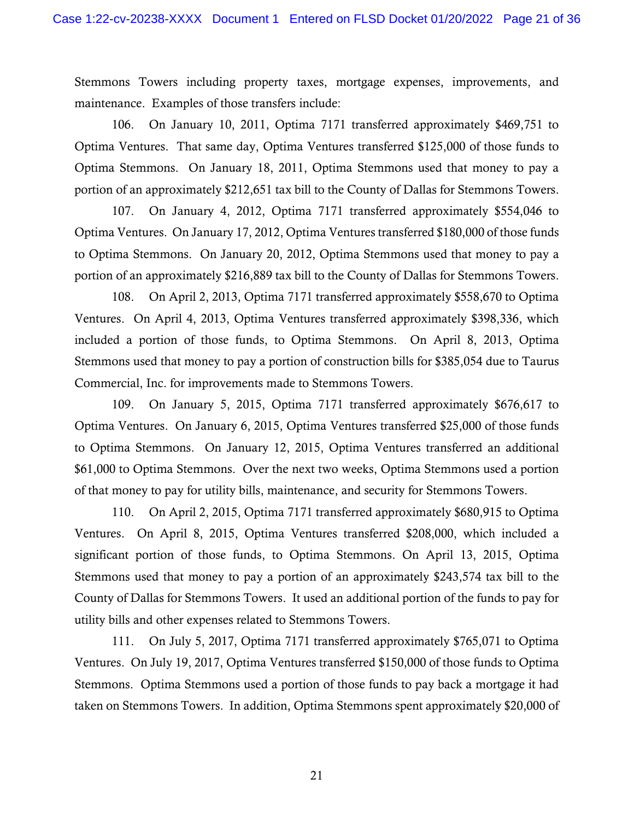maintenance. Examples of those transfers include: Stemmons Towers including property taxes, mortgage expenses, improvements, and

106. On January 10, 2011, Optima 7171 transferred approximately \$469,751 to Optima Ventures. That same day, Optima Ventures transferred \$125,000 of those funds to Optima Stemmons. On January 18, 2011, Optima Stemmons used that money to pay a portion of an approximately \$212,651 tax bill to the County of Dallas for Stemmons Towers.

107. On January 4, 2012, Optima 7171 transferred approximately \$554,046 to Optima Ventures. On January 17, 2012, Optima Ventures transferred \$180,000 of those funds to Optima Stemmons. On January 20, 2012, Optima Stemmons used that money to pay a portion of an approximately \$216,889 tax bill to the County of Dallas for Stemmons Towers.

 108. On April 2, 2013, Optima 7171 transferred approximately \$558,670 to Optima Ventures. On April 4, 2013, Optima Ventures transferred approximately \$398,336, which included a portion of those funds, to Optima Stemmons. On April 8, 2013, Optima Stemmons used that money to pay a portion of construction bills for \$385,054 due to Taurus Commercial, Inc. for improvements made to Stemmons Towers.

 Optima Ventures. On January 6, 2015, Optima Ventures transferred \$25,000 of those funds 109. On January 5, 2015, Optima 7171 transferred approximately \$676,617 to to Optima Stemmons. On January 12, 2015, Optima Ventures transferred an additional \$61,000 to Optima Stemmons. Over the next two weeks, Optima Stemmons used a portion of that money to pay for utility bills, maintenance, and security for Stemmons Towers.

 110. On April 2, 2015, Optima 7171 transferred approximately \$680,915 to Optima significant portion of those funds, to Optima Stemmons. On April 13, 2015, Optima Ventures. On April 8, 2015, Optima Ventures transferred \$208,000, which included a Stemmons used that money to pay a portion of an approximately \$243,574 tax bill to the County of Dallas for Stemmons Towers. It used an additional portion of the funds to pay for utility bills and other expenses related to Stemmons Towers.

 taken on Stemmons Towers. In addition, Optima Stemmons spent approximately \$20,000 of 111. On July 5, 2017, Optima 7171 transferred approximately \$765,071 to Optima Ventures. On July 19, 2017, Optima Ventures transferred \$150,000 of those funds to Optima Stemmons. Optima Stemmons used a portion of those funds to pay back a mortgage it had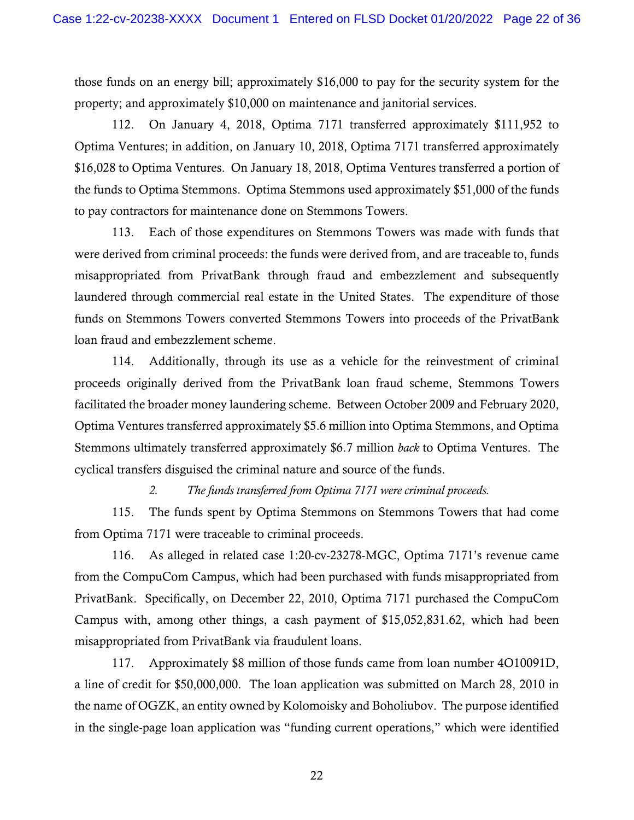those funds on an energy bill; approximately \$16,000 to pay for the security system for the property; and approximately \$10,000 on maintenance and janitorial services.

 \$16,028 to Optima Ventures. On January 18, 2018, Optima Ventures transferred a portion of to pay contractors for maintenance done on Stemmons Towers. 112. On January 4, 2018, Optima 7171 transferred approximately \$111,952 to Optima Ventures; in addition, on January 10, 2018, Optima 7171 transferred approximately the funds to Optima Stemmons. Optima Stemmons used approximately \$51,000 of the funds

 were derived from criminal proceeds: the funds were derived from, and are traceable to, funds laundered through commercial real estate in the United States. The expenditure of those loan fraud and embezzlement scheme. 113. Each of those expenditures on Stemmons Towers was made with funds that misappropriated from PrivatBank through fraud and embezzlement and subsequently funds on Stemmons Towers converted Stemmons Towers into proceeds of the PrivatBank

 Optima Ventures transferred approximately \$5.6 million into Optima Stemmons, and Optima Stemmons ultimately transferred approximately \$6.7 million *back* to Optima Ventures. The cyclical transfers disguised the criminal nature and source of the funds. 114. Additionally, through its use as a vehicle for the reinvestment of criminal proceeds originally derived from the PrivatBank loan fraud scheme, Stemmons Towers facilitated the broader money laundering scheme. Between October 2009 and February 2020,

*2. The funds transferred from Optima 7171 were criminal proceeds.* 

115. The funds spent by Optima Stemmons on Stemmons Towers that had come from Optima 7171 were traceable to criminal proceeds.

 116. As alleged in related case 1:20-cv-23278-MGC, Optima 7171's revenue came Campus with, among other things, a cash payment of \$[15,052,831.62](https://15,052,831.62), which had been from the CompuCom Campus, which had been purchased with funds misappropriated from PrivatBank. Specifically, on December 22, 2010, Optima 7171 purchased the CompuCom misappropriated from PrivatBank via fraudulent loans.

 117. Approximately \$8 million of those funds came from loan number 4O10091D, a line of credit for \$50,000,000. The loan application was submitted on March 28, 2010 in the name of OGZK, an entity owned by Kolomoisky and Boholiubov. The purpose identified in the single-page loan application was "funding current operations," which were identified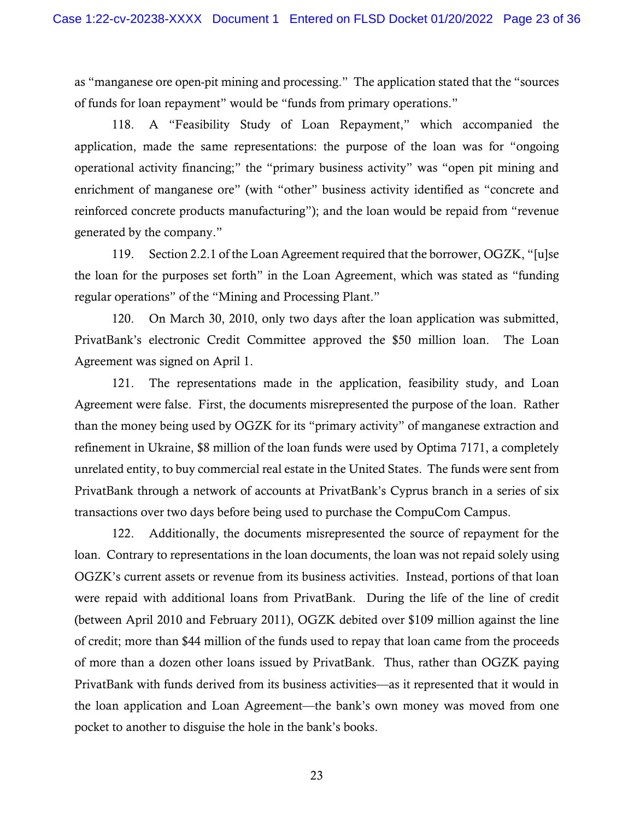as "manganese ore open-pit mining and processing." The application stated that the "sources of funds for loan repayment" would be "funds from primary operations."

generated by the company." 118. A "Feasibility Study of Loan Repayment," which accompanied the application, made the same representations: the purpose of the loan was for "ongoing operational activity financing;" the "primary business activity" was "open pit mining and enrichment of manganese ore" (with "other" business activity identified as "concrete and reinforced concrete products manufacturing"); and the loan would be repaid from "revenue

 the loan for the purposes set forth" in the Loan Agreement, which was stated as "funding regular operations" of the "Mining and Processing Plant." 119. Section 2.2.1 of the Loan Agreement required that the borrower, OGZK, "[u]se

 PrivatBank's electronic Credit Committee approved the \$50 million loan. The Loan 120. On March 30, 2010, only two days after the loan application was submitted, Agreement was signed on April 1.

 Agreement were false. First, the documents misrepresented the purpose of the loan. Rather unrelated entity, to buy commercial real estate in the United States. The funds were sent from 121. The representations made in the application, feasibility study, and Loan than the money being used by OGZK for its "primary activity" of manganese extraction and refinement in Ukraine, \$8 million of the loan funds were used by Optima 7171, a completely PrivatBank through a network of accounts at PrivatBank's Cyprus branch in a series of six transactions over two days before being used to purchase the CompuCom Campus.

 122. Additionally, the documents misrepresented the source of repayment for the loan. Contrary to representations in the loan documents, the loan was not repaid solely using OGZK's current assets or revenue from its business activities. Instead, portions of that loan of credit; more than \$44 million of the funds used to repay that loan came from the proceeds of more than a dozen other loans issued by PrivatBank. Thus, rather than OGZK paying were repaid with additional loans from PrivatBank. During the life of the line of credit (between April 2010 and February 2011), OGZK debited over \$109 million against the line PrivatBank with funds derived from its business activities—as it represented that it would in the loan application and Loan Agreement—the bank's own money was moved from one pocket to another to disguise the hole in the bank's books.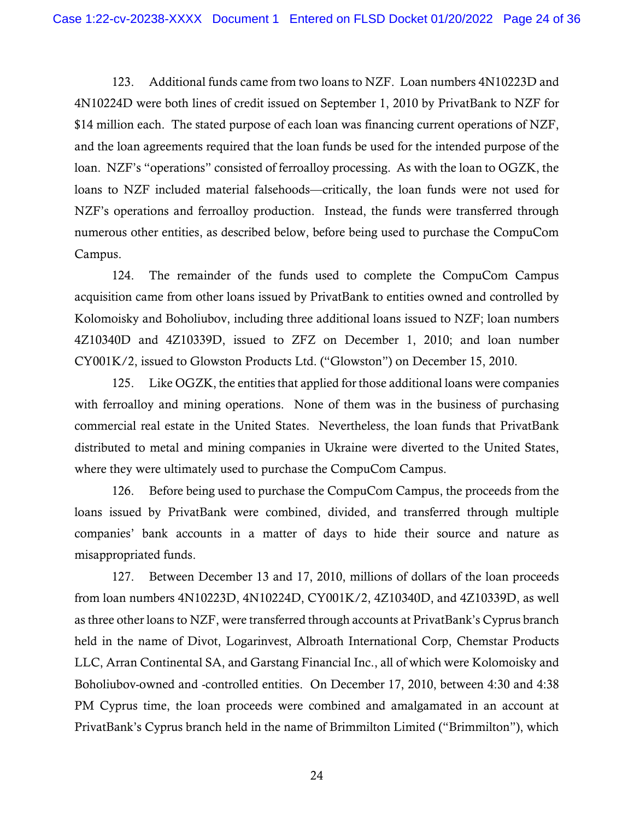123. Additional funds came from two loans to NZF. Loan numbers 4N10223D and 4N10224D were both lines of credit issued on September 1, 2010 by PrivatBank to NZF for \$14 million each. The stated purpose of each loan was financing current operations of NZF, and the loan agreements required that the loan funds be used for the intended purpose of the loan. NZF's "operations" consisted of ferroalloy processing. As with the loan to OGZK, the loans to NZF included material falsehoods—critically, the loan funds were not used for NZF's operations and ferroalloy production. Instead, the funds were transferred through numerous other entities, as described below, before being used to purchase the CompuCom Campus.

 acquisition came from other loans issued by PrivatBank to entities owned and controlled by 124. The remainder of the funds used to complete the CompuCom Campus Kolomoisky and Boholiubov, including three additional loans issued to NZF; loan numbers 4Z10340D and 4Z10339D, issued to ZFZ on December 1, 2010; and loan number CY001K/2, issued to Glowston Products Ltd. ("Glowston") on December 15, 2010.

 125. Like OGZK, the entities that applied for those additional loans were companies with ferroalloy and mining operations. None of them was in the business of purchasing commercial real estate in the United States. Nevertheless, the loan funds that PrivatBank distributed to metal and mining companies in Ukraine were diverted to the United States, where they were ultimately used to purchase the CompuCom Campus.

misappropriated funds. 126. Before being used to purchase the CompuCom Campus, the proceeds from the loans issued by PrivatBank were combined, divided, and transferred through multiple companies' bank accounts in a matter of days to hide their source and nature as

misappropriated funds.<br>127. Between December 13 and 17, 2010, millions of dollars of the loan proceeds from loan numbers 4N10223D, 4N10224D, CY001K/2, 4Z10340D, and 4Z10339D, as well Boholiubov-owned and -controlled entities. On December 17, 2010, between 4:30 and 4:38 PrivatBank's Cyprus branch held in the name of Brimmilton Limited ("Brimmilton"), which as three other loans to NZF, were transferred through accounts at PrivatBank's Cyprus branch held in the name of Divot, Logarinvest, Albroath International Corp, Chemstar Products LLC, Arran Continental SA, and Garstang Financial Inc., all of which were Kolomoisky and PM Cyprus time, the loan proceeds were combined and amalgamated in an account at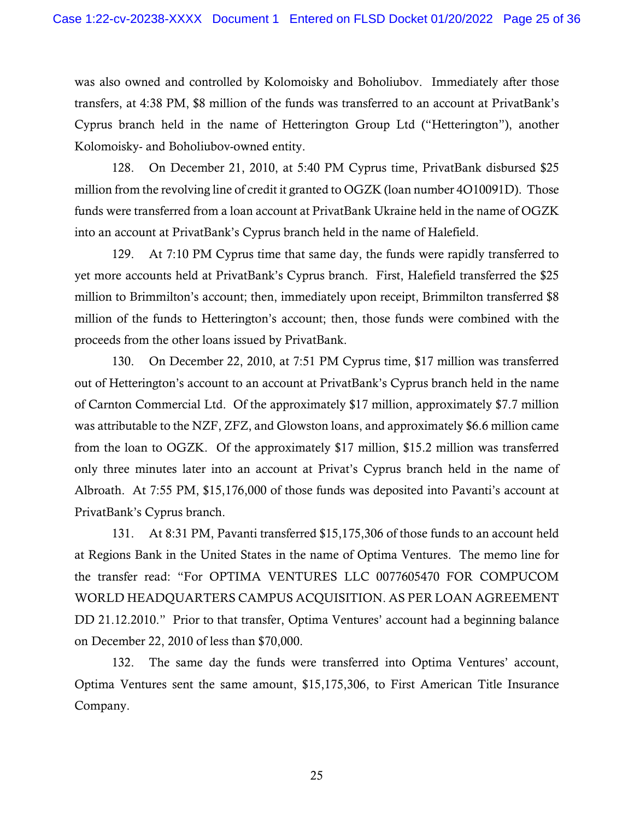was also owned and controlled by Kolomoisky and Boholiubov. Immediately after those Kolomoisky- and Boholiubov-owned entity. transfers, at 4:38 PM, \$8 million of the funds was transferred to an account at PrivatBank's Cyprus branch held in the name of Hetterington Group Ltd ("Hetterington"), another

128. On December 21, 2010, at 5:40 PM Cyprus time, PrivatBank disbursed \$25 million from the revolving line of credit it granted to OGZK (loan number 4O10091D). Those funds were transferred from a loan account at PrivatBank Ukraine held in the name of OGZK into an account at PrivatBank's Cyprus branch held in the name of Halefield.

129. At 7:10 PM Cyprus time that same day, the funds were rapidly transferred to yet more accounts held at PrivatBank's Cyprus branch. First, Halefield transferred the \$25 million to Brimmilton's account; then, immediately upon receipt, Brimmilton transferred \$8 million of the funds to Hetterington's account; then, those funds were combined with the proceeds from the other loans issued by PrivatBank.

 130. On December 22, 2010, at 7:51 PM Cyprus time, \$17 million was transferred of Carnton Commercial Ltd. Of the approximately \$17 million, approximately \$7.7 million was attributable to the NZF, ZFZ, and Glowston loans, and approximately \$6.6 million came Albroath. At 7:55 PM, \$15,176,000 of those funds was deposited into Pavanti's account at out of Hetterington's account to an account at PrivatBank's Cyprus branch held in the name from the loan to OGZK. Of the approximately \$17 million, \$15.2 million was transferred only three minutes later into an account at Privat's Cyprus branch held in the name of PrivatBank's Cyprus branch.

 131. At 8:31 PM, Pavanti transferred \$15,175,306 of those funds to an account held DD 21.12.2010." Prior to that transfer, Optima Ventures' account had a beginning balance at Regions Bank in the United States in the name of Optima Ventures. The memo line for the transfer read: "For OPTIMA VENTURES LLC 0077605470 FOR COMPUCOM WORLD HEADQUARTERS CAMPUS ACQUISITION. AS PER LOAN AGREEMENT on December 22, 2010 of less than \$70,000.

132. The same day the funds were transferred into Optima Ventures' account, Optima Ventures sent the same amount, \$15,175,306, to First American Title Insurance Company.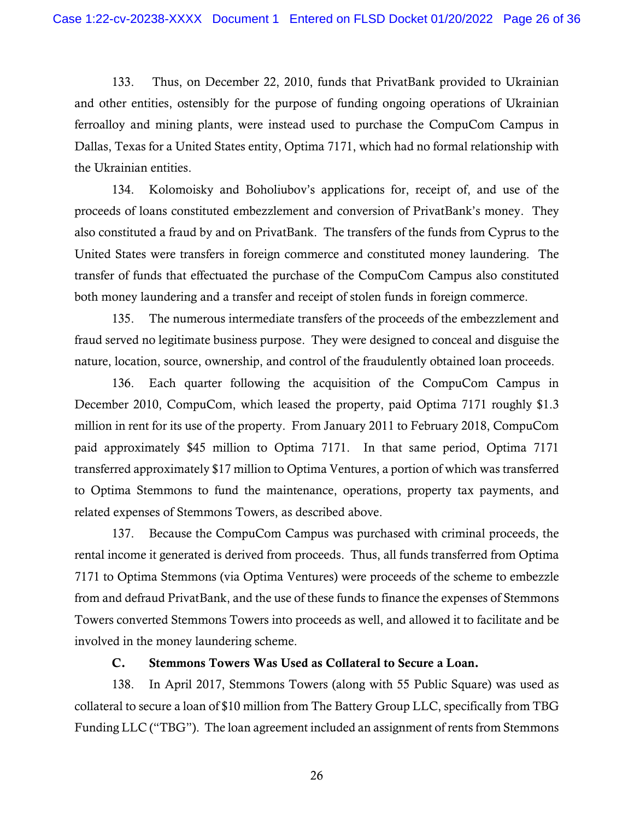133. Thus, on December 22, 2010, funds that PrivatBank provided to Ukrainian and other entities, ostensibly for the purpose of funding ongoing operations of Ukrainian ferroalloy and mining plants, were instead used to purchase the CompuCom Campus in Dallas, Texas for a United States entity, Optima 7171, which had no formal relationship with the Ukrainian entities.

 also constituted a fraud by and on PrivatBank. The transfers of the funds from Cyprus to the 134. Kolomoisky and Boholiubov's applications for, receipt of, and use of the proceeds of loans constituted embezzlement and conversion of PrivatBank's money. They United States were transfers in foreign commerce and constituted money laundering. The transfer of funds that effectuated the purchase of the CompuCom Campus also constituted both money laundering and a transfer and receipt of stolen funds in foreign commerce.

 135. The numerous intermediate transfers of the proceeds of the embezzlement and fraud served no legitimate business purpose. They were designed to conceal and disguise the nature, location, source, ownership, and control of the fraudulently obtained loan proceeds. 136. Each quarter following the acquisition of the CompuCom Campus in

 paid approximately \$45 million to Optima 7171. In that same period, Optima 7171 December 2010, CompuCom, which leased the property, paid Optima 7171 roughly \$1.3 million in rent for its use of the property. From January 2011 to February 2018, CompuCom transferred approximately \$17 million to Optima Ventures, a portion of which was transferred to Optima Stemmons to fund the maintenance, operations, property tax payments, and related expenses of Stemmons Towers, as described above.

 rental income it generated is derived from proceeds. Thus, all funds transferred from Optima 137. Because the CompuCom Campus was purchased with criminal proceeds, the 7171 to Optima Stemmons (via Optima Ventures) were proceeds of the scheme to embezzle from and defraud PrivatBank, and the use of these funds to finance the expenses of Stemmons Towers converted Stemmons Towers into proceeds as well, and allowed it to facilitate and be involved in the money laundering scheme.

## C. Stemmons Towers Was Used as Collateral to Secure a Loan.

 Funding LLC ("TBG"). The loan agreement included an assignment of rents from Stemmons 138. In April 2017, Stemmons Towers (along with 55 Public Square) was used as collateral to secure a loan of \$10 million from The Battery Group LLC, specifically from TBG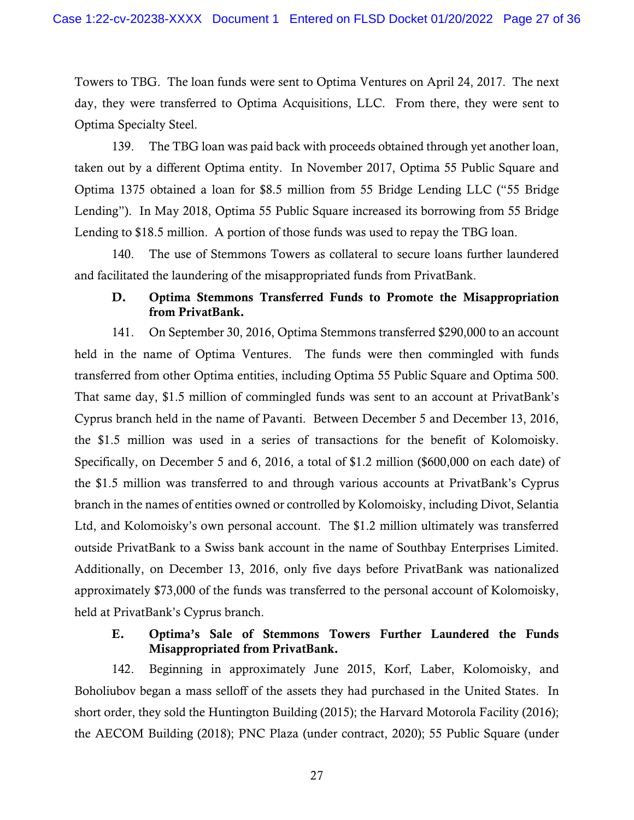Towers to TBG. The loan funds were sent to Optima Ventures on April 24, 2017. The next day, they were transferred to Optima Acquisitions, LLC. From there, they were sent to Optima Specialty Steel.

 taken out by a different Optima entity. In November 2017, Optima 55 Public Square and 139. The TBG loan was paid back with proceeds obtained through yet another loan, Optima 1375 obtained a loan for \$8.5 million from 55 Bridge Lending LLC ("55 Bridge Lending"). In May 2018, Optima 55 Public Square increased its borrowing from 55 Bridge Lending to \$18.5 million. A portion of those funds was used to repay the TBG loan.

 and facilitated the laundering of the misappropriated funds from PrivatBank. 140. The use of Stemmons Towers as collateral to secure loans further laundered

## D. Optima Stemmons Transferred Funds to Promote the Misappropriation from PrivatBank.

 held in the name of Optima Ventures. The funds were then commingled with funds Cyprus branch held in the name of Pavanti. Between December 5 and December 13, 2016, approximately \$73,000 of the funds was transferred to the personal account of Kolomoisky, held at PrivatBank's Cyprus branch. 141. On September 30, 2016, Optima Stemmons transferred \$290,000 to an account transferred from other Optima entities, including Optima 55 Public Square and Optima 500. That same day, \$1.5 million of commingled funds was sent to an account at PrivatBank's the \$1.5 million was used in a series of transactions for the benefit of Kolomoisky. Specifically, on December 5 and 6, 2016, a total of \$1.2 million (\$600,000 on each date) of the \$1.5 million was transferred to and through various accounts at PrivatBank's Cyprus branch in the names of entities owned or controlled by Kolomoisky, including Divot, Selantia Ltd, and Kolomoisky's own personal account. The \$1.2 million ultimately was transferred outside PrivatBank to a Swiss bank account in the name of Southbay Enterprises Limited. Additionally, on December 13, 2016, only five days before PrivatBank was nationalized

## E. Optima's Sale of Stemmons Towers Further Laundered the Funds Misappropriated from PrivatBank.

 Boholiubov began a mass selloff of the assets they had purchased in the United States. In 142. Beginning in approximately June 2015, Korf, Laber, Kolomoisky, and short order, they sold the Huntington Building (2015); the Harvard Motorola Facility (2016); the AECOM Building (2018); PNC Plaza (under contract, 2020); 55 Public Square (under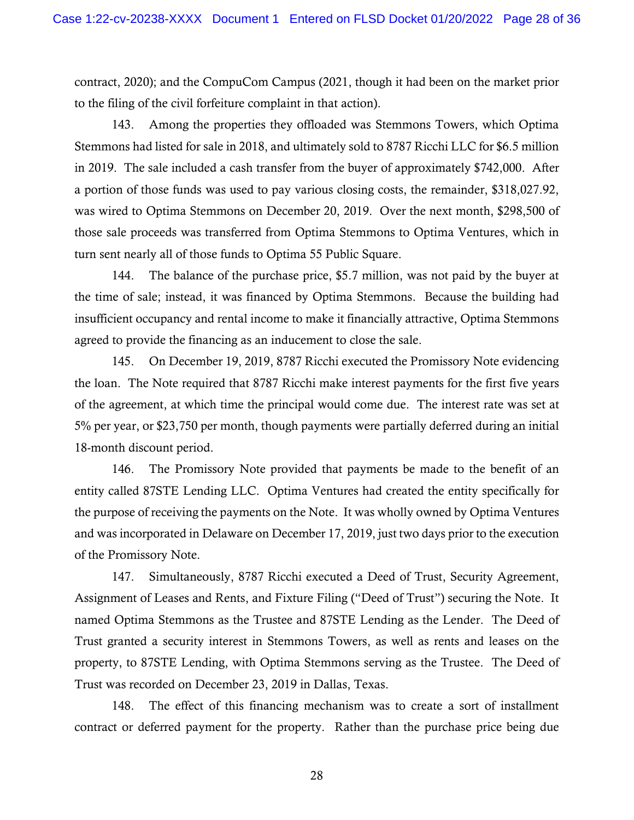contract, 2020); and the CompuCom Campus (2021, though it had been on the market prior to the filing of the civil forfeiture complaint in that action).

 143. Among the properties they offloaded was Stemmons Towers, which Optima in 2019. The sale included a cash transfer from the buyer of approximately \$742,000. After was wired to Optima Stemmons on December 20, 2019. Over the next month, \$298,500 of Stemmons had listed for sale in 2018, and ultimately sold to 8787 Ricchi LLC for \$6.5 million a portion of those funds was used to pay various closing costs, the remainder, \$[318,027.92](https://318,027.92), those sale proceeds was transferred from Optima Stemmons to Optima Ventures, which in turn sent nearly all of those funds to Optima 55 Public Square.

 144. The balance of the purchase price, \$5.7 million, was not paid by the buyer at the time of sale; instead, it was financed by Optima Stemmons. Because the building had agreed to provide the financing as an inducement to close the sale. insufficient occupancy and rental income to make it financially attractive, Optima Stemmons

 of the agreement, at which time the principal would come due. The interest rate was set at 18-month discount period. 145. On December 19, 2019, 8787 Ricchi executed the Promissory Note evidencing the loan. The Note required that 8787 Ricchi make interest payments for the first five years 5% per year, or \$23,750 per month, though payments were partially deferred during an initial

 the purpose of receiving the payments on the Note. It was wholly owned by Optima Ventures of the Promissory Note. 146. The Promissory Note provided that payments be made to the benefit of an entity called 87STE Lending LLC. Optima Ventures had created the entity specifically for and was incorporated in Delaware on December 17, 2019, just two days prior to the execution

 Assignment of Leases and Rents, and Fixture Filing ("Deed of Trust") securing the Note. It property, to 87STE Lending, with Optima Stemmons serving as the Trustee. The Deed of 147. Simultaneously, 8787 Ricchi executed a Deed of Trust, Security Agreement, named Optima Stemmons as the Trustee and 87STE Lending as the Lender. The Deed of Trust granted a security interest in Stemmons Towers, as well as rents and leases on the Trust was recorded on December 23, 2019 in Dallas, Texas.

 148. The effect of this financing mechanism was to create a sort of installment contract or deferred payment for the property. Rather than the purchase price being due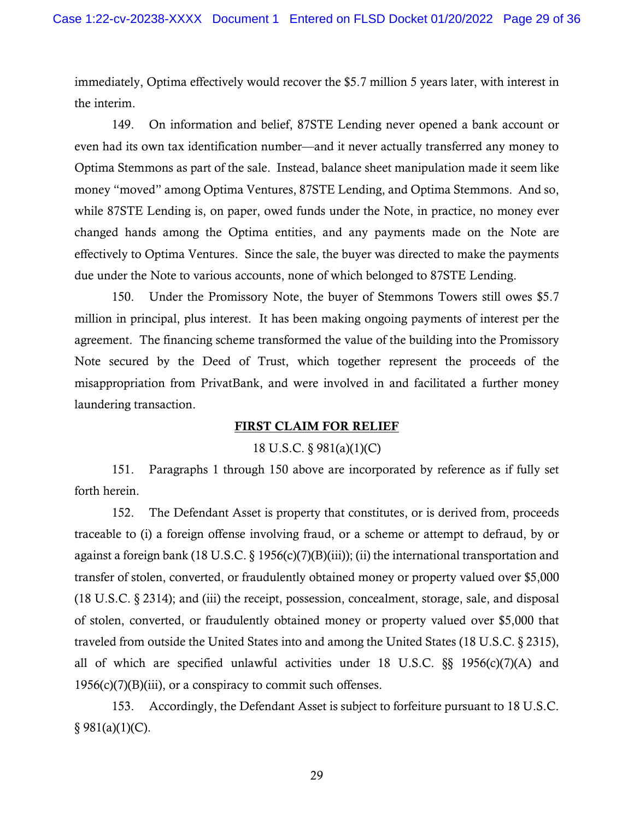the interim. immediately, Optima effectively would recover the \$5.7 million 5 years later, with interest in

 Optima Stemmons as part of the sale. Instead, balance sheet manipulation made it seem like money "moved" among Optima Ventures, 87STE Lending, and Optima Stemmons. And so, 149. On information and belief, 87STE Lending never opened a bank account or even had its own tax identification number—and it never actually transferred any money to while 87STE Lending is, on paper, owed funds under the Note, in practice, no money ever changed hands among the Optima entities, and any payments made on the Note are effectively to Optima Ventures. Since the sale, the buyer was directed to make the payments due under the Note to various accounts, none of which belonged to 87STE Lending.

 million in principal, plus interest. It has been making ongoing payments of interest per the agreement. The financing scheme transformed the value of the building into the Promissory 150. Under the Promissory Note, the buyer of Stemmons Towers still owes \$5.7 Note secured by the Deed of Trust, which together represent the proceeds of the misappropriation from PrivatBank, and were involved in and facilitated a further money laundering transaction.

### FIRST CLAIM FOR RELIEF

## 18 U.S.C. § 981(a)(1)(C)

151. Paragraphs 1 through 150 above are incorporated by reference as if fully set forth herein.

152. The Defendant Asset is property that constitutes, or is derived from, proceeds traceable to (i) a foreign offense involving fraud, or a scheme or attempt to defraud, by or against a foreign bank (18 U.S.C. § 1956(c)(7)(B)(iii)); (ii) the international transportation and transfer of stolen, converted, or fraudulently obtained money or property valued over \$5,000 (18 U.S.C. § 2314); and (iii) the receipt, possession, concealment, storage, sale, and disposal of stolen, converted, or fraudulently obtained money or property valued over \$5,000 that traveled from outside the United States into and among the United States (18 U.S.C. § 2315), all of which are specified unlawful activities under 18 U.S.C.  $\S$ § 1956(c)(7)(A) and  $1956(c)(7)(B)(iii)$ , or a conspiracy to commit such offenses.

153. Accordingly, the Defendant Asset is subject to forfeiture pursuant to 18 U.S.C.  $§ 981(a)(1)(C).$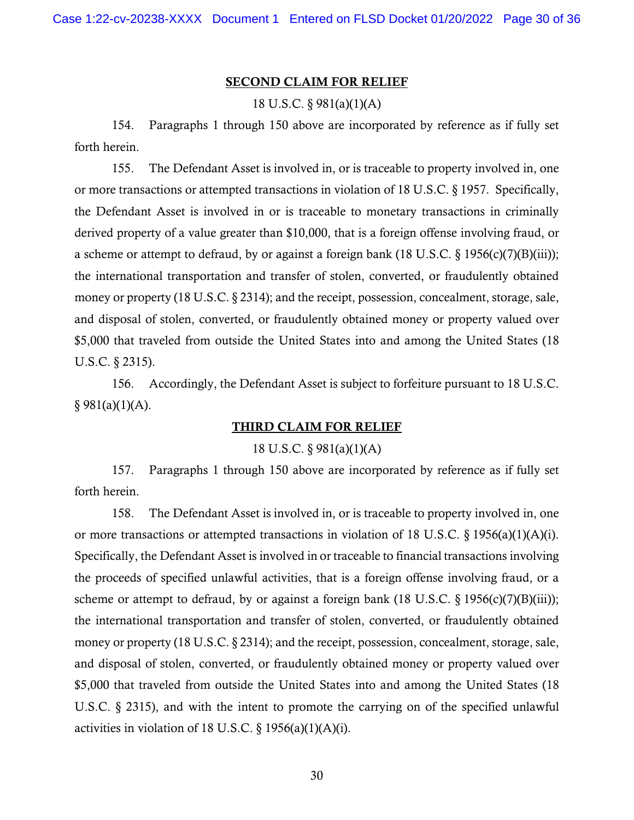#### SECOND CLAIM FOR RELIEF

#### 18 U.S.C. § 981(a)(1)(A)

154. Paragraphs 1 through 150 above are incorporated by reference as if fully set forth herein.

155. The Defendant Asset is involved in, or is traceable to property involved in, one or more transactions or attempted transactions in violation of 18 U.S.C. § 1957. Specifically, the Defendant Asset is involved in or is traceable to monetary transactions in criminally derived property of a value greater than \$10,000, that is a foreign offense involving fraud, or a scheme or attempt to defraud, by or against a foreign bank (18 U.S.C. § 1956(c)(7)(B)(iii)); the international transportation and transfer of stolen, converted, or fraudulently obtained money or property (18 U.S.C. § 2314); and the receipt, possession, concealment, storage, sale, and disposal of stolen, converted, or fraudulently obtained money or property valued over \$5,000 that traveled from outside the United States into and among the United States (18 U.S.C. § 2315).

 $§ 981(a)(1)(A).$ 156. Accordingly, the Defendant Asset is subject to forfeiture pursuant to 18 U.S.C.

#### THIRD CLAIM FOR RELIEF

#### 18 U.S.C. § 981(a)(1)(A)

157. Paragraphs 1 through 150 above are incorporated by reference as if fully set forth herein.

or more transactions or attempted transactions in violation of 18 U.S.C. § 1956(a)(1)(A)(i).<br>Specifically, the Defendant Asset is involved in or traceable to financial transactions involving activities in violation of 18 U.S.C.  $\S$  1956(a)(1)(A)(i).<br>30 158. The Defendant Asset is involved in, or is traceable to property involved in, one the proceeds of specified unlawful activities, that is a foreign offense involving fraud, or a scheme or attempt to defraud, by or against a foreign bank (18 U.S.C.  $\S$  1956(c)(7)(B)(iii)); the international transportation and transfer of stolen, converted, or fraudulently obtained money or property (18 U.S.C. § 2314); and the receipt, possession, concealment, storage, sale, and disposal of stolen, converted, or fraudulently obtained money or property valued over \$5,000 that traveled from outside the United States into and among the United States (18 U.S.C. § 2315), and with the intent to promote the carrying on of the specified unlawful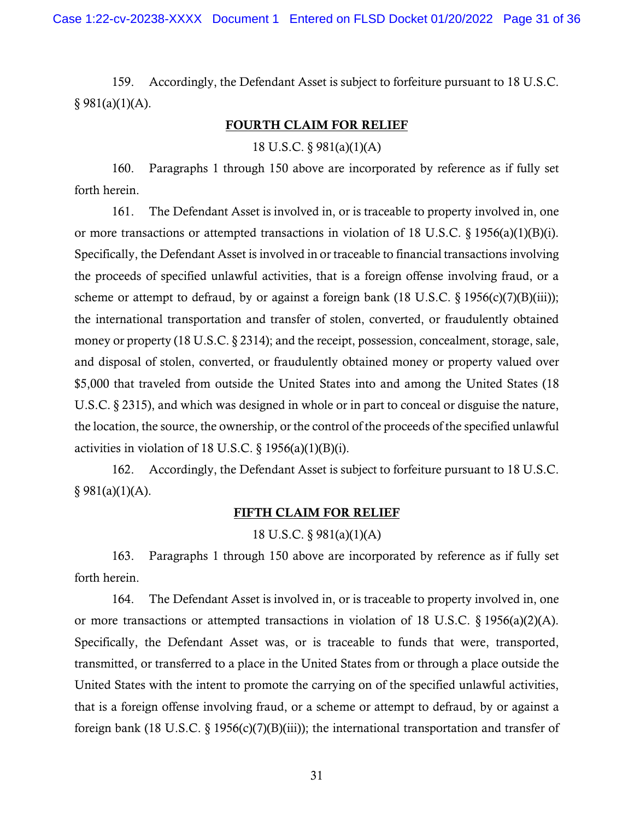$§ 981(a)(1)(A).$ 159. Accordingly, the Defendant Asset is subject to forfeiture pursuant to 18 U.S.C.

### FOURTH CLAIM FOR RELIEF

18 U.S.C. § 981(a)(1)(A)

160. Paragraphs 1 through 150 above are incorporated by reference as if fully set forth herein.

or more transactions or attempted transactions in violation of 18 U.S.C.  $\S$  1956(a)(1)(B)(i). 161. The Defendant Asset is involved in, or is traceable to property involved in, one Specifically, the Defendant Asset is involved in or traceable to financial transactions involving the proceeds of specified unlawful activities, that is a foreign offense involving fraud, or a scheme or attempt to defraud, by or against a foreign bank (18 U.S.C.  $\S$  1956(c)(7)(B)(iii)); the international transportation and transfer of stolen, converted, or fraudulently obtained money or property (18 U.S.C. § 2314); and the receipt, possession, concealment, storage, sale, and disposal of stolen, converted, or fraudulently obtained money or property valued over \$5,000 that traveled from outside the United States into and among the United States (18 U.S.C. § 2315), and which was designed in whole or in part to conceal or disguise the nature, the location, the source, the ownership, or the control of the proceeds of the specified unlawful activities in violation of 18 U.S.C.  $\S$  1956(a)(1)(B)(i).

 $§ 981(a)(1)(A).$ 162. Accordingly, the Defendant Asset is subject to forfeiture pursuant to 18 U.S.C.

### FIFTH CLAIM FOR RELIEF

### 18 U.S.C. § 981(a)(1)(A)

163. Paragraphs 1 through 150 above are incorporated by reference as if fully set forth herein.

or more transactions or attempted transactions in violation of 18 U.S.C.  $\S 1956(a)(2)(A)$ . 164. The Defendant Asset is involved in, or is traceable to property involved in, one Specifically, the Defendant Asset was, or is traceable to funds that were, transported, transmitted, or transferred to a place in the United States from or through a place outside the United States with the intent to promote the carrying on of the specified unlawful activities, that is a foreign offense involving fraud, or a scheme or attempt to defraud, by or against a foreign bank (18 U.S.C. § 1956(c)(7)(B)(iii)); the international transportation and transfer of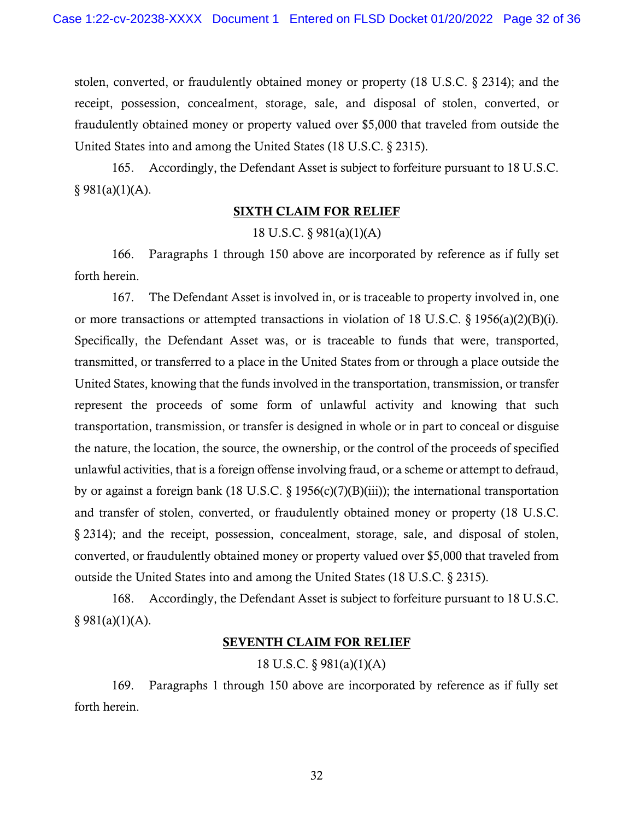stolen, converted, or fraudulently obtained money or property (18 U.S.C. § 2314); and the receipt, possession, concealment, storage, sale, and disposal of stolen, converted, or fraudulently obtained money or property valued over \$5,000 that traveled from outside the United States into and among the United States (18 U.S.C. § 2315).

165. Accordingly, the Defendant Asset is subject to forfeiture pursuant to 18 U.S.C.  $§ 981(a)(1)(A).$ 

## SIXTH CLAIM FOR RELIEF

## 18 U.S.C. § 981(a)(1)(A)

166. Paragraphs 1 through 150 above are incorporated by reference as if fully set forth herein.

167. The Defendant Asset is involved in, or is traceable to property involved in, one or more transactions or attempted transactions in violation of 18 U.S.C. § 1956(a)(2)(B)(i). Specifically, the Defendant Asset was, or is traceable to funds that were, transported, transmitted, or transferred to a place in the United States from or through a place outside the United States, knowing that the funds involved in the transportation, transmission, or transfer represent the proceeds of some form of unlawful activity and knowing that such transportation, transmission, or transfer is designed in whole or in part to conceal or disguise the nature, the location, the source, the ownership, or the control of the proceeds of specified unlawful activities, that is a foreign offense involving fraud, or a scheme or attempt to defraud, by or against a foreign bank (18 U.S.C. § 1956(c)(7)(B)(iii)); the international transportation and transfer of stolen, converted, or fraudulently obtained money or property (18 U.S.C. § 2314); and the receipt, possession, concealment, storage, sale, and disposal of stolen, converted, or fraudulently obtained money or property valued over \$5,000 that traveled from outside the United States into and among the United States (18 U.S.C. § 2315).

168. Accordingly, the Defendant Asset is subject to forfeiture pursuant to 18 U.S.C.  $§ 981(a)(1)(A).$ 

## SEVENTH CLAIM FOR RELIEF

18 U.S.C. § 981(a)(1)(A)

169. Paragraphs 1 through 150 above are incorporated by reference as if fully set forth herein.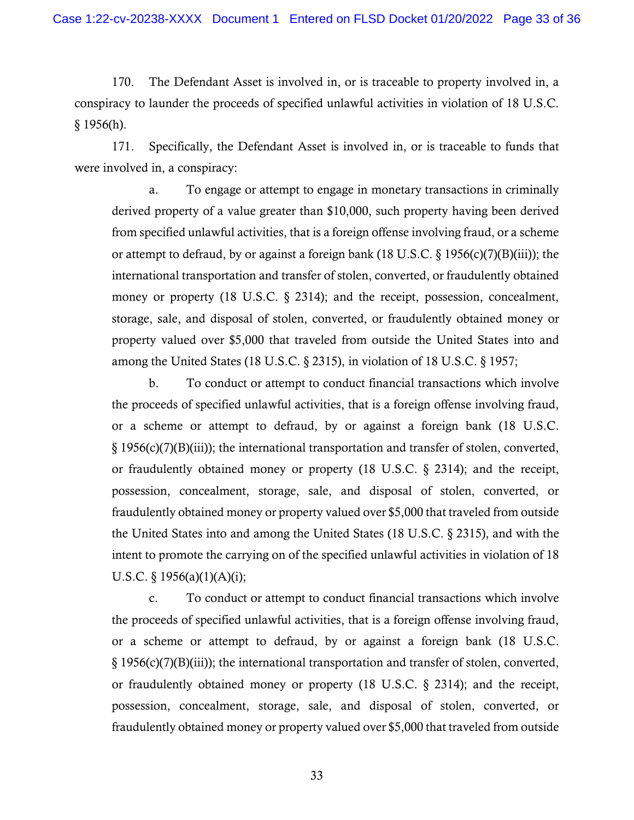$§$  1956(h). 170. The Defendant Asset is involved in, or is traceable to property involved in, a conspiracy to launder the proceeds of specified unlawful activities in violation of 18 U.S.C.

171. Specifically, the Defendant Asset is involved in, or is traceable to funds that were involved in, a conspiracy:

a. To engage or attempt to engage in monetary transactions in criminally derived property of a value greater than \$10,000, such property having been derived from specified unlawful activities, that is a foreign offense involving fraud, or a scheme or attempt to defraud, by or against a foreign bank (18 U.S.C.  $\S$  1956(c)(7)(B)(iii)); the international transportation and transfer of stolen, converted, or fraudulently obtained money or property (18 U.S.C. § 2314); and the receipt, possession, concealment, storage, sale, and disposal of stolen, converted, or fraudulently obtained money or property valued over \$5,000 that traveled from outside the United States into and among the United States (18 U.S.C. § 2315), in violation of 18 U.S.C. § 1957;

 fraudulently obtained money or property valued over \$5,000 that traveled from outside b. To conduct or attempt to conduct financial transactions which involve the proceeds of specified unlawful activities, that is a foreign offense involving fraud, or a scheme or attempt to defraud, by or against a foreign bank (18 U.S.C. § 1956(c)(7)(B)(iii)); the international transportation and transfer of stolen, converted, or fraudulently obtained money or property (18 U.S.C. § 2314); and the receipt, possession, concealment, storage, sale, and disposal of stolen, converted, or the United States into and among the United States (18 U.S.C. § 2315), and with the intent to promote the carrying on of the specified unlawful activities in violation of 18 U.S.C. § 1956(a)(1)(A)(i);

 fraudulently obtained money or property valued over \$5,000 that traveled from outside c. To conduct or attempt to conduct financial transactions which involve the proceeds of specified unlawful activities, that is a foreign offense involving fraud, or a scheme or attempt to defraud, by or against a foreign bank (18 U.S.C. § 1956(c)(7)(B)(iii)); the international transportation and transfer of stolen, converted, or fraudulently obtained money or property (18 U.S.C. § 2314); and the receipt, possession, concealment, storage, sale, and disposal of stolen, converted, or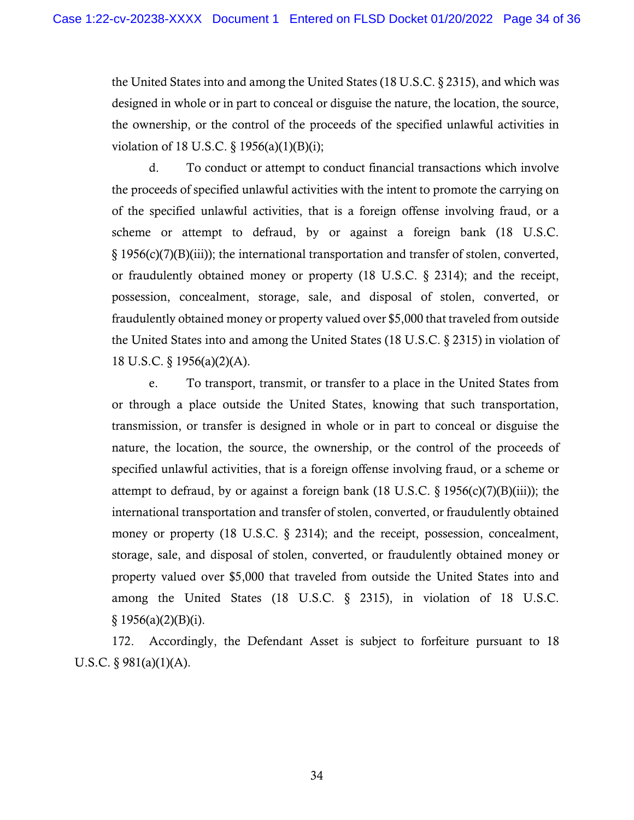the United States into and among the United States (18 U.S.C. § 2315), and which was designed in whole or in part to conceal or disguise the nature, the location, the source, the ownership, or the control of the proceeds of the specified unlawful activities in violation of 18 U.S.C. § 1956(a)(1)(B)(i);

 possession, concealment, storage, sale, and disposal of stolen, converted, or fraudulently obtained money or property valued over \$5,000 that traveled from outside 18 U.S.C. § 1956(a)(2)(A). d. To conduct or attempt to conduct financial transactions which involve the proceeds of specified unlawful activities with the intent to promote the carrying on of the specified unlawful activities, that is a foreign offense involving fraud, or a scheme or attempt to defraud, by or against a foreign bank (18 U.S.C. § 1956(c)(7)(B)(iii)); the international transportation and transfer of stolen, converted, or fraudulently obtained money or property (18 U.S.C. § 2314); and the receipt, the United States into and among the United States (18 U.S.C. § 2315) in violation of

 $§ 1956(a)(2)(B)(i).$ e. To transport, transmit, or transfer to a place in the United States from or through a place outside the United States, knowing that such transportation, transmission, or transfer is designed in whole or in part to conceal or disguise the nature, the location, the source, the ownership, or the control of the proceeds of specified unlawful activities, that is a foreign offense involving fraud, or a scheme or attempt to defraud, by or against a foreign bank (18 U.S.C.  $\S$  1956(c)(7)(B)(iii)); the international transportation and transfer of stolen, converted, or fraudulently obtained money or property (18 U.S.C. § 2314); and the receipt, possession, concealment, storage, sale, and disposal of stolen, converted, or fraudulently obtained money or property valued over \$5,000 that traveled from outside the United States into and among the United States (18 U.S.C. § 2315), in violation of 18 U.S.C.

 U.S.C. § 981(a)(1)(A). 172. Accordingly, the Defendant Asset is subject to forfeiture pursuant to 18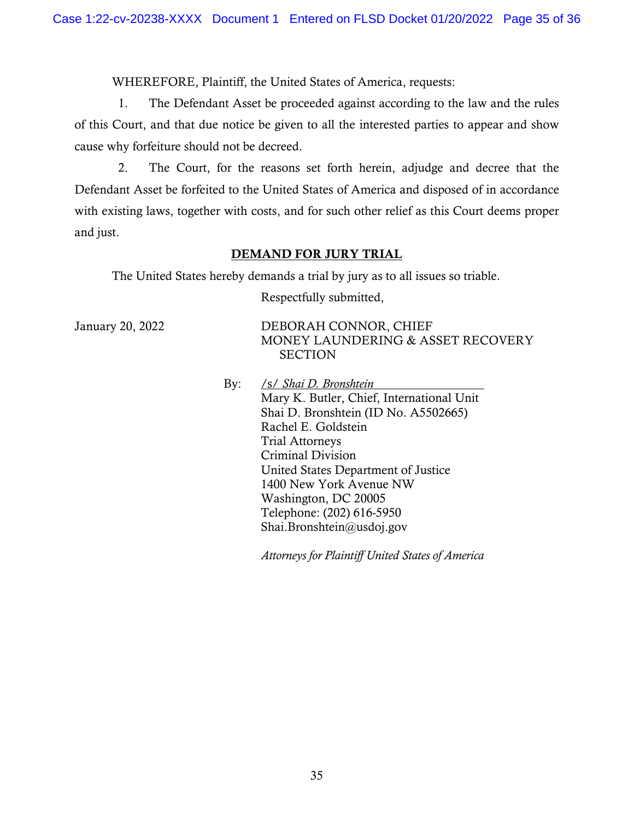WHEREFORE, Plaintiff, the United States of America, requests:

1. The Defendant Asset be proceeded against according to the law and the rules of this Court, and that due notice be given to all the interested parties to appear and show cause why forfeiture should not be decreed.

2. The Court, for the reasons set forth herein, adjudge and decree that the Defendant Asset be forfeited to the United States of America and disposed of in accordance with existing laws, together with costs, and for such other relief as this Court deems proper and just.

### DEMAND FOR JURY TRIAL

The United States hereby demands a trial by jury as to all issues so triable.

Respectfully submitted,

January 20, 2022 DEBORAH CONNOR, CHIEF MONEY LAUNDERING & ASSET RECOVERY **SECTION** 

> By: /s/ *Shai D. Bronshtein* Mary K. Butler, Chief, International Unit Shai D. Bronshtein (ID No. A5502665) Rachel E. Goldstein Trial Attorneys Criminal Division United States Department of Justice 1400 New York Avenue NW Washington, DC 20005 Telephone: (202) 616-5950 [Shai.Bronshtein@usdoj.gov](mailto:Shai.Bronshtein@usdoj.gov)

> > *Attorneys for Plaintiff United States of America*